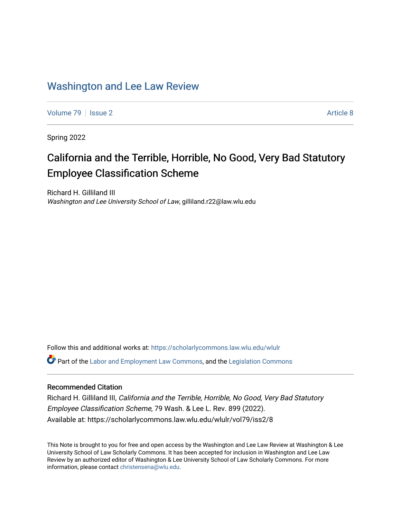# [Washington and Lee Law Review](https://scholarlycommons.law.wlu.edu/wlulr)

[Volume 79](https://scholarlycommons.law.wlu.edu/wlulr/vol79) | [Issue 2](https://scholarlycommons.law.wlu.edu/wlulr/vol79/iss2) Article 8

Spring 2022

# California and the Terrible, Horrible, No Good, Very Bad Statutory Employee Classification Scheme

Richard H. Gilliland III Washington and Lee University School of Law, gilliland.r22@law.wlu.edu

Follow this and additional works at: [https://scholarlycommons.law.wlu.edu/wlulr](https://scholarlycommons.law.wlu.edu/wlulr?utm_source=scholarlycommons.law.wlu.edu%2Fwlulr%2Fvol79%2Fiss2%2F8&utm_medium=PDF&utm_campaign=PDFCoverPages) 

**C**<sup> $\bullet$ </sup> Part of the [Labor and Employment Law Commons](http://network.bepress.com/hgg/discipline/909?utm_source=scholarlycommons.law.wlu.edu%2Fwlulr%2Fvol79%2Fiss2%2F8&utm_medium=PDF&utm_campaign=PDFCoverPages), and the Legislation Commons

# Recommended Citation

Richard H. Gilliland III, California and the Terrible, Horrible, No Good, Very Bad Statutory Employee Classification Scheme, 79 Wash. & Lee L. Rev. 899 (2022). Available at: https://scholarlycommons.law.wlu.edu/wlulr/vol79/iss2/8

This Note is brought to you for free and open access by the Washington and Lee Law Review at Washington & Lee University School of Law Scholarly Commons. It has been accepted for inclusion in Washington and Lee Law Review by an authorized editor of Washington & Lee University School of Law Scholarly Commons. For more information, please contact [christensena@wlu.edu](mailto:christensena@wlu.edu).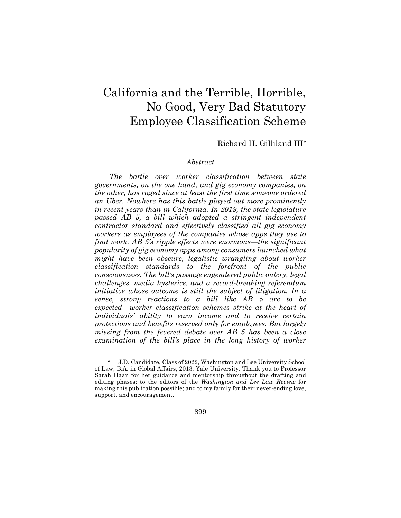# California and the Terrible, Horrible, No Good, Very Bad Statutory Employee Classification Scheme

# Richard H. Gilliland III\*

#### *Abstract*

*The battle over worker classification between state governments, on the one hand, and gig economy companies, on the other, has raged since at least the first time someone ordered an Uber. Nowhere has this battle played out more prominently in recent years than in California. In 2019, the state legislature passed AB 5, a bill which adopted a stringent independent contractor standard and effectively classified all gig economy workers as employees of the companies whose apps they use to find work. AB 5's ripple effects were enormous—the significant popularity of gig economy apps among consumers launched what might have been obscure, legalistic wrangling about worker classification standards to the forefront of the public consciousness. The bill's passage engendered public outcry, legal challenges, media hysterics, and a record-breaking referendum initiative whose outcome is still the subject of litigation. In a sense, strong reactions to a bill like AB 5 are to be expected—worker classification schemes strike at the heart of individuals' ability to earn income and to receive certain protections and benefits reserved only for employees. But largely missing from the fevered debate over AB 5 has been a close examination of the bill's place in the long history of worker* 

899

<sup>\*</sup> J.D. Candidate, Class of 2022, Washington and Lee University School of Law; B.A. in Global Affairs, 2013, Yale University. Thank you to Professor Sarah Haan for her guidance and mentorship throughout the drafting and editing phases; to the editors of the *Washington and Lee Law Review* for making this publication possible; and to my family for their never-ending love, support, and encouragement.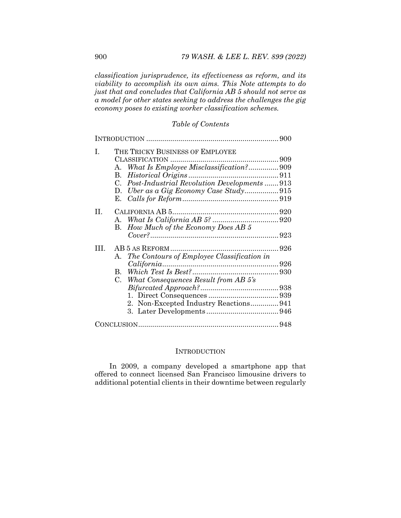*classification jurisprudence, its effectiveness as reform, and its viability to accomplish its own aims. This Note attempts to do just that and concludes that California AB 5 should not serve as a model for other states seeking to address the challenges the gig economy poses to existing worker classification schemes.* 

# *Table of Contents*

| Ι.   | THE TRICKY BUSINESS OF EMPLOYEE                             |  |
|------|-------------------------------------------------------------|--|
|      |                                                             |  |
|      | What Is Employee Misclassification? 909<br>A.               |  |
|      | В.                                                          |  |
|      | Post-Industrial Revolution Developments  913<br>$C_{\cdot}$ |  |
|      | D.                                                          |  |
|      | Е.                                                          |  |
|      |                                                             |  |
| П.   |                                                             |  |
|      |                                                             |  |
|      | B. How Much of the Economy Does AB 5                        |  |
|      |                                                             |  |
| III. |                                                             |  |
|      | The Contours of Employee Classification in<br>A.            |  |
|      |                                                             |  |
|      | B.                                                          |  |
|      | C. What Consequences Result from AB 5's                     |  |
|      |                                                             |  |
|      |                                                             |  |
|      | 2. Non-Excepted Industry Reactions941                       |  |
|      |                                                             |  |
|      |                                                             |  |
|      |                                                             |  |

## **INTRODUCTION**

In 2009, a company developed a smartphone app that offered to connect licensed San Francisco limousine drivers to additional potential clients in their downtime between regularly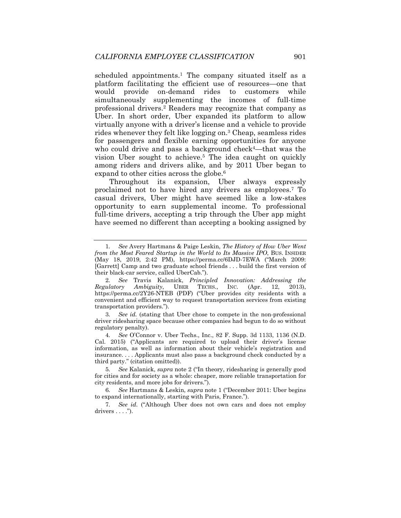scheduled appointments.<sup>1</sup> The company situated itself as a platform facilitating the efficient use of resources—one that would provide on-demand rides to customers while simultaneously supplementing the incomes of full-time professional drivers.2 Readers may recognize that company as Uber. In short order, Uber expanded its platform to allow virtually anyone with a driver's license and a vehicle to provide rides whenever they felt like logging on.3 Cheap, seamless rides for passengers and flexible earning opportunities for anyone who could drive and pass a background check<sup>4</sup>—that was the vision Uber sought to achieve.5 The idea caught on quickly among riders and drivers alike, and by 2011 Uber began to expand to other cities across the globe.6

Throughout its expansion, Uber always expressly proclaimed not to have hired any drivers as employees.7 To casual drivers, Uber might have seemed like a low-stakes opportunity to earn supplemental income. To professional full-time drivers, accepting a trip through the Uber app might have seemed no different than accepting a booking assigned by

<sup>1</sup>*. See* Avery Hartmans & Paige Leskin, *The History of How Uber Went from the Most Feared Startup in the World to Its Massive IPO*, BUS. INSIDER (May 18, 2019, 2:42 PM), https://perma.cc/6DJD-7EWA ("March 2009: [Garrett] Camp and two graduate school friends . . . build the first version of their black-car service, called UberCab.").

<sup>2</sup>*. See* Travis Kalanick, *Principled Innovation: Addressing the Regulatory Ambiguity*, UBER TECHS., INC. (Apr. 12, 2013), https://perma.cc/2Y26-NTEB (PDF) ("Uber provides city residents with a convenient and efficient way to request transportation services from existing transportation providers.").

<sup>3</sup>*. See id.* (stating that Uber chose to compete in the non-professional driver ridesharing space because other companies had begun to do so without regulatory penalty).

<sup>4</sup>*. See* O'Connor v. Uber Techs., Inc., 82 F. Supp. 3d 1133, 1136 (N.D. Cal. 2015) ("Applicants are required to upload their driver's license information, as well as information about their vehicle's registration and insurance. . . . Applicants must also pass a background check conducted by a third party." (citation omitted)).

<sup>5</sup>*. See* Kalanick, *supra* note 2 ("In theory, ridesharing is generally good for cities and for society as a whole: cheaper, more reliable transportation for city residents, and more jobs for drivers.").

<sup>6</sup>*. See* Hartmans & Leskin, *supra* note 1 ("December 2011: Uber begins to expand internationally, starting with Paris, France.").

<sup>7</sup>*. See id.* ("Although Uber does not own cars and does not employ drivers  $\dots$ .").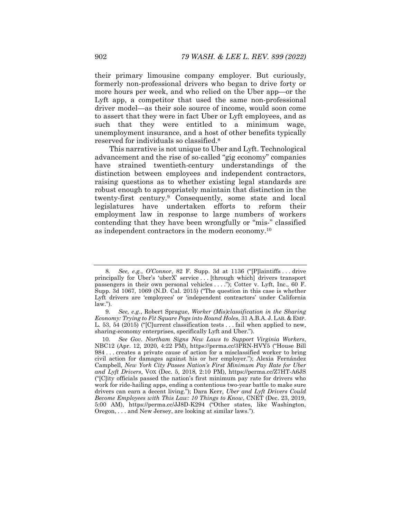their primary limousine company employer. But curiously, formerly non-professional drivers who began to drive forty or more hours per week, and who relied on the Uber app—or the Lyft app, a competitor that used the same non-professional driver model—as their sole source of income, would soon come to assert that they were in fact Uber or Lyft employees, and as such that they were entitled to a minimum wage, unemployment insurance, and a host of other benefits typically reserved for individuals so classified.8

This narrative is not unique to Uber and Lyft. Technological advancement and the rise of so-called "gig economy" companies have strained twentieth-century understandings of the distinction between employees and independent contractors, raising questions as to whether existing legal standards are robust enough to appropriately maintain that distinction in the twenty-first century.9 Consequently, some state and local legislatures have undertaken efforts to reform their employment law in response to large numbers of workers contending that they have been wrongfully or "mis-" classified as independent contractors in the modern economy.10

<sup>8</sup>*. See, e.g.*, *O'Connor*, 82 F. Supp. 3d at 1136 ("[P]laintiffs . . . drive principally for Uber's 'uberX' service . . . [through which] drivers transport passengers in their own personal vehicles . . . ."); Cotter v. Lyft, Inc., 60 F. Supp. 3d 1067, 1069 (N.D. Cal. 2015) ("The question in this case is whether Lyft drivers are 'employees' or 'independent contractors' under California law.").

<sup>9</sup>*. See, e.g.*, Robert Sprague, *Worker (Mis)classification in the Sharing Economy: Trying to Fit Square Pegs into Round Holes*, 31 A.B.A. J. LAB. & EMP. L. 53, 54 (2015) ("[C]urrent classification tests . . . fail when applied to new, sharing-economy enterprises, specifically Lyft and Uber.").

<sup>10</sup>*. See Gov. Northam Signs New Laws to Support Virginia Workers*, NBC12 (Apr. 12, 2020, 4:22 PM), https://perma.cc/3PRN-HVY5 ("House Bill 984 . . . creates a private cause of action for a misclassified worker to bring civil action for damages against his or her employer."); Alexia Fernández Campbell, *New York City Passes Nation's First Minimum Pay Rate for Uber and Lyft Drivers*, VOX (Dec. 5, 2018, 2:10 PM), https://perma.cc/Z7HT-A6JS ("[C]ity officials passed the nation's first minimum pay rate for drivers who work for ride-hailing apps, ending a contentious two-year battle to make sure drivers can earn a decent living."); Dara Kerr, *Uber and Lyft Drivers Could Become Employees with This Law: 10 Things to Know*, CNET (Dec. 23, 2019, 5:00 AM), https://perma.cc/JJ8D-K294 ("Other states, like Washington, Oregon, . . . and New Jersey, are looking at similar laws.").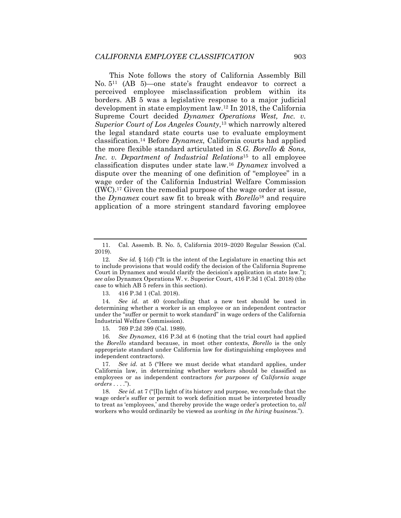This Note follows the story of California Assembly Bill No. 511 (AB 5)—one state's fraught endeavor to correct a perceived employee misclassification problem within its borders. AB 5 was a legislative response to a major judicial development in state employment law.12 In 2018, the California Supreme Court decided *Dynamex Operations West, Inc. v. Superior Court of Los Angeles County*,13 which narrowly altered the legal standard state courts use to evaluate employment classification.14 Before *Dynamex*, California courts had applied the more flexible standard articulated in *S.G. Borello & Sons, Inc. v. Department of Industrial Relations*15 to all employee classification disputes under state law.16 *Dynamex* involved a dispute over the meaning of one definition of "employee" in a wage order of the California Industrial Welfare Commission (IWC).17 Given the remedial purpose of the wage order at issue, the *Dynamex* court saw fit to break with *Borello*18 and require application of a more stringent standard favoring employee

13. 416 P.3d 1 (Cal. 2018).

14*. See id.* at 40 (concluding that a new test should be used in determining whether a worker is an employee or an independent contractor under the "suffer or permit to work standard" in wage orders of the California Industrial Welfare Commission).

15. 769 P.2d 399 (Cal. 1989).

16*. See Dynamex*, 416 P.3d at 6 (noting that the trial court had applied the *Borello* standard because, in most other contexts, *Borello* is the only appropriate standard under California law for distinguishing employees and independent contractors).

17*. See id.* at 5 ("Here we must decide what standard applies, under California law, in determining whether workers should be classified as employees or as independent contractors *for purposes of California wage orders* . . . .").

18*. See id.* at 7 ("[I]n light of its history and purpose, we conclude that the wage order's suffer or permit to work definition must be interpreted broadly to treat as 'employees,' and thereby provide the wage order's protection to, *all* workers who would ordinarily be viewed as *working in the hiring business*.").

 <sup>11.</sup> Cal. Assemb. B. No. 5, California 2019–2020 Regular Session (Cal. 2019).

<sup>12</sup>*. See id.* § 1(d) ("It is the intent of the Legislature in enacting this act to include provisions that would codify the decision of the California Supreme Court in Dynamex and would clarify the decision's application in state law."); *see also* Dynamex Operations W. v. Superior Court, 416 P.3d 1 (Cal. 2018) (the case to which AB 5 refers in this section).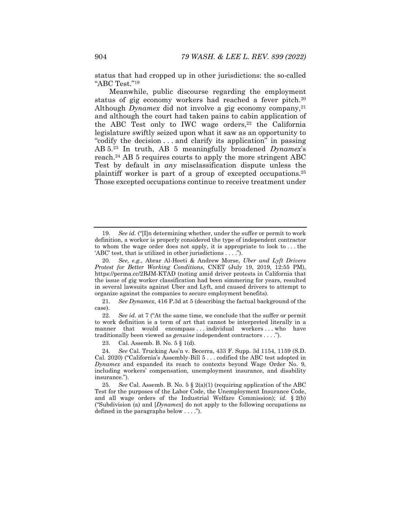status that had cropped up in other jurisdictions: the so-called "ABC Test."19

Meanwhile, public discourse regarding the employment status of gig economy workers had reached a fever pitch.<sup>20</sup> Although *Dynamex* did not involve a gig economy company,<sup>21</sup> and although the court had taken pains to cabin application of the ABC Test only to IWC wage orders, $22$  the California legislature swiftly seized upon what it saw as an opportunity to "codify the decision . . . and clarify its application" in passing AB 5.23 In truth, AB 5 meaningfully broadened *Dynamex*'s reach.24 AB 5 requires courts to apply the more stringent ABC Test by default in *any* misclassification dispute unless the plaintiff worker is part of a group of excepted occupations.25 Those excepted occupations continue to receive treatment under

21*. See Dynamex*, 416 P.3d at 5 (describing the factual background of the case).

22*. See id.* at 7 ("At the same time, we conclude that the suffer or permit to work definition is a term of art that cannot be interpreted literally in a manner that would encompass ... individual workers ... who have traditionally been viewed as *genuine* independent contractors . . . .").

23. Cal. Assemb. B. No. 5 § 1(d).

<sup>19</sup>*. See id.* ("[I]n determining whether, under the suffer or permit to work definition, a worker is properly considered the type of independent contractor to whom the wage order does not apply, it is appropriate to look to . . . the 'ABC' test, that is utilized in other jurisdictions . . . .").

<sup>20</sup>*. See, e.g.*, Abrar Al-Heeti & Andrew Morse, *Uber and Lyft Drivers Protest for Better Working Conditions*, CNET (July 19, 2019, 12:55 PM), https://perma.cc/2BJM-KTAD (noting amid driver protests in California that the issue of gig worker classification had been simmering for years, resulted in several lawsuits against Uber and Lyft, and caused drivers to attempt to organize against the companies to secure employment benefits).

<sup>24</sup>*. See* Cal. Trucking Ass'n v. Becerra, 433 F. Supp. 3d 1154, 1159 (S.D. Cal. 2020) ("California's Assembly-Bill 5 . . . codified the ABC test adopted in *Dynamex* and expanded its reach to contexts beyond Wage Order No. 9, including workers' compensation, unemployment insurance, and disability insurance.").

<sup>25</sup>*. See* Cal. Assemb. B. No. 5 § 2(a)(1) (requiring application of the ABC Test for the purposes of the Labor Code, the Unemployment Insurance Code, and all wage orders of the Industrial Welfare Commission); *id.* § 2(b) ("Subdivision (a) and [*Dynamex*] do not apply to the following occupations as defined in the paragraphs below . . . .").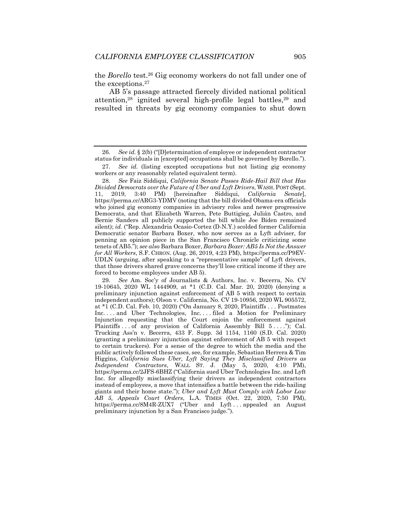the *Borello* test.26 Gig economy workers do not fall under one of the exceptions.27

AB 5's passage attracted fiercely divided national political attention,<sup>28</sup> ignited several high-profile legal battles,<sup>29</sup> and resulted in threats by gig economy companies to shut down

28*. See* Faiz Siddiqui, *California Senate Passes Ride-Hail Bill that Has Divided Democrats over the Future of Uber and Lyft Drivers*, WASH. POST (Sept. 11, 2019, 3:40 PM) [hereinafter Siddiqui, *California Senate*], https://perma.cc/ARG3-YDMV (noting that the bill divided Obama-era officials who joined gig economy companies in advisory roles and newer progressive Democrats, and that Elizabeth Warren, Pete Buttigieg, Julián Castro, and Bernie Sanders all publicly supported the bill while Joe Biden remained silent); *id.* ("Rep. Alexandria Ocasio-Cortez (D-N.Y.) scolded former California Democratic senator Barbara Boxer, who now serves as a Lyft adviser, for penning an opinion piece in the San Francisco Chronicle criticizing some tenets of AB5."); *see also* Barbara Boxer, *Barbara Boxer: AB5 Is Not the Answer for All Workers*, S.F. CHRON. (Aug. 26, 2019, 4:23 PM), https://perma.cc/P9EV-UDLN (arguing, after speaking to a "representative sample" of Lyft drivers, that those drivers shared grave concerns they'll lose critical income if they are forced to become employees under AB 5).

29*. See* Am. Soc'y of Journalists & Authors, Inc. v. Becerra, No. CV 19-10645, 2020 WL 1444909, at \*1 (C.D. Cal. Mar. 20, 2020) (denying a preliminary injunction against enforcement of AB 5 with respect to certain independent authors); Olson v. California, No. CV 19-10956, 2020 WL 905572, at \*1 (C.D. Cal. Feb. 10, 2020) ("On January 8, 2020, Plaintiffs . . . Postmates Inc. . . . and Uber Technologies, Inc. . . . filed a Motion for Preliminary Injunction requesting that the Court enjoin the enforcement against Plaintiffs . . . of any provision of California Assembly Bill  $5 \ldots$ "); Cal. Trucking Ass'n v. Becerra, 433 F. Supp. 3d 1154, 1160 (S.D. Cal. 2020) (granting a preliminary injunction against enforcement of AB 5 with respect to certain truckers). For a sense of the degree to which the media and the public actively followed these cases, see, for example, Sebastian Herrera & Tim Higgins, *California Sues Uber, Lyft Saying They Misclassified Drivers as Independent Contractors*, WALL ST. J. (May 5, 2020, 4:10 PM), https://perma.cc/2JFS-6BHZ ("California sued Uber Technologies Inc. and Lyft Inc. for allegedly misclassifying their drivers as independent contractors instead of employees, a move that intensifies a battle between the ride-hailing giants and their home state."); *Uber and Lyft Must Comply with Labor Law AB 5, Appeals Court Orders*, L.A. TIMES (Oct. 22, 2020, 7:50 PM), https://perma.cc/8M4R-ZUX7 ("Uber and Lyft . . . appealed an August preliminary injunction by a San Francisco judge.").

<sup>26</sup>*. See id.* § 2(b) ("[D]etermination of employee or independent contractor status for individuals in [excepted] occupations shall be governed by Borello.").

<sup>27</sup>*. See id.* (listing excepted occupations but not listing gig economy workers or any reasonably related equivalent term).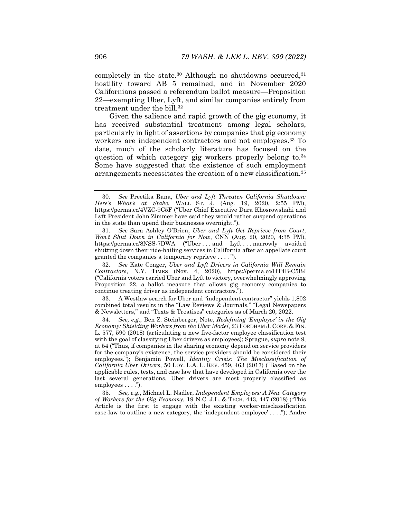completely in the state.<sup>30</sup> Although no shutdowns occurred,<sup>31</sup> hostility toward AB 5 remained, and in November 2020 Californians passed a referendum ballot measure—Proposition 22—exempting Uber, Lyft, and similar companies entirely from treatment under the bill.<sup>32</sup>

Given the salience and rapid growth of the gig economy, it has received substantial treatment among legal scholars, particularly in light of assertions by companies that gig economy workers are independent contractors and not employees.<sup>33</sup> To date, much of the scholarly literature has focused on the question of which category gig workers properly belong to.34 Some have suggested that the existence of such employment arrangements necessitates the creation of a new classification.35

 33. A Westlaw search for Uber and "independent contractor" yields 1,802 combined total results in the "Law Reviews & Journals," "Legal Newspapers & Newsletters," and "Texts & Treatises" categories as of March 20, 2022.

<sup>30</sup>*. See* Preetika Rana, *Uber and Lyft Threaten California Shutdown: Here's What's at Stake*, WALL ST. J. (Aug. 19, 2020, 2:55 PM), https://perma.cc/4VZC-9C5F ("Uber Chief Executive Dara Khosrowshahi and Lyft President John Zimmer have said they would rather suspend operations in the state than upend their businesses overnight.").

<sup>31</sup>*. See* Sara Ashley O'Brien, *Uber and Lyft Get Reprieve from Court, Won't Shut Down in California for Now, CNN (Aug. 20, 2020, 4:35 PM),* https://perma.cc/8NSS-7DWA ("Uber . . . and Lyft . . . narrowly avoided shutting down their ride-hailing services in California after an appellate court granted the companies a temporary reprieve . . . . ").

<sup>32</sup>*. See* Kate Conger, *Uber and Lyft Drivers in California Will Remain Contractors*, N.Y. TIMES (Nov. 4, 2020), https://perma.cc/HT4B-C5BJ ("California voters carried Uber and Lyft to victory, overwhelmingly approving Proposition 22, a ballot measure that allows gig economy companies to continue treating driver as independent contractors.").

<sup>34</sup>*. See, e.g.*, Ben Z. Steinberger, Note, *Redefining 'Employee' in the Gig Economy: Shielding Workers from the Uber Model*, 23 FORDHAM J. CORP. & FIN. L. 577, 590 (2018) (articulating a new five-factor employee classification test with the goal of classifying Uber drivers as employees); Sprague, *supra* note 9, at 54 ("Thus, if companies in the sharing economy depend on service providers for the company's existence, the service providers should be considered their employees."); Benjamin Powell, *Identity Crisis: The Misclassification of California Uber Drivers*, 50 LOY. L.A. L. REV. 459, 463 (2017) ("Based on the applicable rules, tests, and case law that have developed in California over the last several generations, Uber drivers are most properly classified as employees . . . .").

<sup>35</sup>*. See, e.g.*, Michael L. Nadler, *Independent Employees: A New Category of Workers for the Gig Economy*, 19 N.C. J.L. & TECH. 443, 447 (2018) ("This Article is the first to engage with the existing worker-misclassification case-law to outline a new category, the 'independent employee' . . . ."); Andre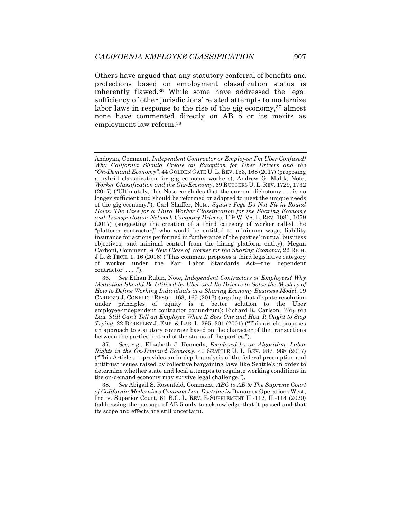Others have argued that any statutory conferral of benefits and protections based on employment classification status is inherently flawed.36 While some have addressed the legal sufficiency of other jurisdictions' related attempts to modernize labor laws in response to the rise of the gig economy,  $37$  almost none have commented directly on AB 5 or its merits as employment law reform.38

Andoyan, Comment, *Independent Contractor or Employee: I'm Uber Confused! Why California Should Create an Exception for Uber Drivers and the "On-Demand Economy"*, 44 GOLDEN GATE U. L. REV. 153, 168 (2017) (proposing a hybrid classification for gig economy workers); Andrew G. Malik, Note, *Worker Classification and the Gig-Economy*, 69 RUTGERS U. L. REV. 1729, 1732 (2017) ("Ultimately, this Note concludes that the current dichotomy . . . is no longer sufficient and should be reformed or adapted to meet the unique needs of the gig-economy."); Carl Shaffer, Note, *Square Pegs Do Not Fit in Round Holes: The Case for a Third Worker Classification for the Sharing Economy and Transportation Network Company Drivers*, 119 W. VA. L. REV. 1031, 1059 (2017) (suggesting the creation of a third category of worker called the "platform contractor," who would be entitled to minimum wage, liability insurance for actions performed in furtherance of the parties' mutual business objectives, and minimal control from the hiring platform entity); Megan Carboni, Comment, *A New Class of Worker for the Sharing Economy*, 22 RICH. J.L. & TECH. 1, 16 (2016) ("This comment proposes a third legislative category of worker under the Fair Labor Standards Act—the 'dependent contractor' . . . .").

<sup>36</sup>*. See* Ethan Rubin, Note, *Independent Contractors or Employees? Why Mediation Should Be Utilized by Uber and Its Drivers to Solve the Mystery of How to Define Working Individuals in a Sharing Economy Business Model*, 19 CARDOZO J. CONFLICT RESOL. 163, 165 (2017) (arguing that dispute resolution under principles of equity is a better solution to the Uber employee-independent contractor conundrum); Richard R. Carlson, *Why the Law Still Can't Tell an Employee When It Sees One and How It Ought to Stop Trying*, 22 BERKELEY J. EMP. & LAB. L. 295, 301 (2001) ("This article proposes an approach to statutory coverage based on the character of the transactions between the parties instead of the status of the parties.").

<sup>37</sup>*. See, e.g.*, Elizabeth J. Kennedy, *Employed by an Algorithm: Labor Rights in the On-Demand Economy*, 40 SEATTLE U. L. REV. 987, 988 (2017) ("This Article . . . provides an in-depth analysis of the federal preemption and antitrust issues raised by collective bargaining laws like Seattle's in order to determine whether state and local attempts to regulate working conditions in the on-demand economy may survive legal challenge.").

<sup>38</sup>*. See* Abigail S. Rosenfeld, Comment, *ABC to AB 5: The Supreme Court of California Modernizes Common Law Doctrine in* Dynamex Operations West, Inc. v. Superior Court, 61 B.C. L. REV. E-SUPPLEMENT II.-112, II.-114 (2020) (addressing the passage of AB 5 only to acknowledge that it passed and that its scope and effects are still uncertain).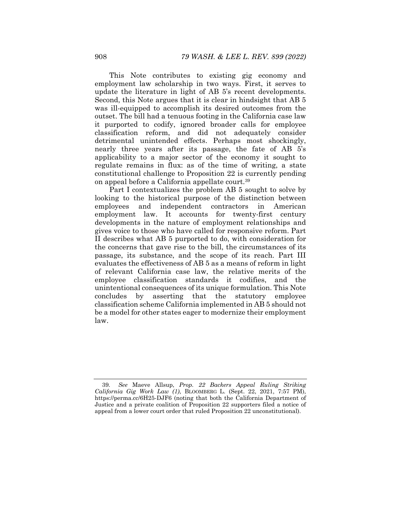This Note contributes to existing gig economy and employment law scholarship in two ways. First, it serves to update the literature in light of AB 5's recent developments. Second, this Note argues that it is clear in hindsight that AB 5 was ill-equipped to accomplish its desired outcomes from the outset. The bill had a tenuous footing in the California case law it purported to codify, ignored broader calls for employee classification reform, and did not adequately consider detrimental unintended effects. Perhaps most shockingly, nearly three years after its passage, the fate of AB 5's applicability to a major sector of the economy it sought to regulate remains in flux: as of the time of writing, a state constitutional challenge to Proposition 22 is currently pending on appeal before a California appellate court.39

Part I contextualizes the problem AB 5 sought to solve by looking to the historical purpose of the distinction between employees and independent contractors in American employment law. It accounts for twenty-first century developments in the nature of employment relationships and gives voice to those who have called for responsive reform. Part II describes what AB 5 purported to do, with consideration for the concerns that gave rise to the bill, the circumstances of its passage, its substance, and the scope of its reach. Part III evaluates the effectiveness of AB 5 as a means of reform in light of relevant California case law, the relative merits of the employee classification standards it codifies, and the unintentional consequences of its unique formulation. This Note concludes by asserting that the statutory employee classification scheme California implemented in AB 5 should not be a model for other states eager to modernize their employment law.

<sup>39</sup>*. See* Maeve Allsup, *Prop. 22 Backers Appeal Ruling Striking California Gig Work Law (1)*, BLOOMBERG L. (Sept. 22, 2021, 7:57 PM), https://perma.cc/6H25-DJF6 (noting that both the California Department of Justice and a private coalition of Proposition 22 supporters filed a notice of appeal from a lower court order that ruled Proposition 22 unconstitutional).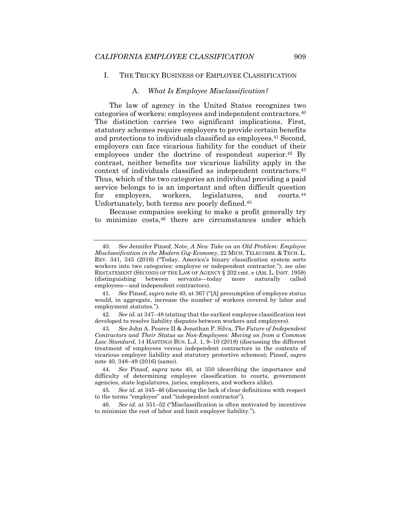#### I. THE TRICKY BUSINESS OF EMPLOYEE CLASSIFICATION

#### A. *What Is Employee Misclassification?*

The law of agency in the United States recognizes two categories of workers: employees and independent contractors.40 The distinction carries two significant implications. First, statutory schemes require employers to provide certain benefits and protections to individuals classified as employees.41 Second, employers can face vicarious liability for the conduct of their employees under the doctrine of respondeat superior.<sup>42</sup> By contrast, neither benefits nor vicarious liability apply in the context of individuals classified as independent contractors.43 Thus, which of the two categories an individual providing a paid service belongs to is an important and often difficult question for employers, workers, legislatures, and courts.<sup>44</sup> Unfortunately, both terms are poorly defined.45

Because companies seeking to make a profit generally try to minimize costs,<sup>46</sup> there are circumstances under which

41*. See* Pinsof, *supra* note 40, at 367 ("[A] presumption of employee status would, in aggregate, increase the number of workers covered by labor and employment statutes.").

<sup>40</sup>*. See* Jennifer Pinsof, Note, *A New Take on an Old Problem: Employee Misclassification in the Modern Gig-Economy*, 22 MICH. TELECOMM. & TECH. L. REV. 341, 345 (2016) ("Today, America's binary classification system sorts workers into two categories: employee or independent contractor."); *see also* RESTATEMENT (SECOND) OF THE LAW OF AGENCY § 202 cmt. e (AM. L. INST. 1958) (distinguishing between servants—today more naturally called employees—and independent contractors).

<sup>42</sup>*. See id.* at 347–48 (stating that the earliest employee classification test developed to resolve liability disputes between workers and employers).

<sup>43</sup>*. See* John A. Pearce II & Jonathan P. Silva, *The Future of Independent Contractors and Their Status as Non-Employees: Moving on from a Common Law Standard*, 14 HASTINGS BUS. L.J. 1, 9–10 (2018) (discussing the different treatment of employees versus independent contractors in the contexts of vicarious employer liability and statutory protective schemes); Pinsof, *supra* note 40, 348–49 (2016) (same).

<sup>44</sup>*. See* Pinsof, *supra* note 40, at 350 (describing the importance and difficulty of determining employee classification to courts, government agencies, state legislatures, juries, employers, and workers alike).

<sup>45</sup>*. See id.* at 345–46 (discussing the lack of clear definitions with respect to the terms "employee" and "independent contractor").

<sup>46</sup>*. See id.* at 351–52 ("Misclassification is often motivated by incentives to minimize the cost of labor and limit employer liability.").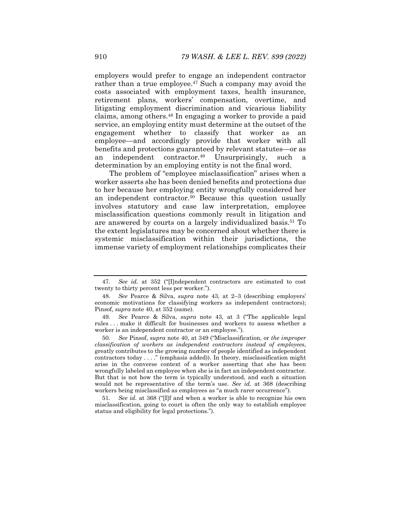employers would prefer to engage an independent contractor rather than a true employee.<sup>47</sup> Such a company may avoid the costs associated with employment taxes, health insurance, retirement plans, workers' compensation, overtime, and litigating employment discrimination and vicarious liability claims, among others.48 In engaging a worker to provide a paid service, an employing entity must determine at the outset of the engagement whether to classify that worker as an employee—and accordingly provide that worker with all benefits and protections guaranteed by relevant statutes—or as an independent contractor.49 Unsurprisingly, such a determination by an employing entity is not the final word.

The problem of "employee misclassification" arises when a worker asserts she has been denied benefits and protections due to her because her employing entity wrongfully considered her an independent contractor.50 Because this question usually involves statutory and case law interpretation, employee misclassification questions commonly result in litigation and are answered by courts on a largely individualized basis.51 To the extent legislatures may be concerned about whether there is systemic misclassification within their jurisdictions, the immense variety of employment relationships complicates their

<sup>47</sup>*. See id.* at 352 ("[I]ndependent contractors are estimated to cost twenty to thirty percent less per worker.").

<sup>48</sup>*. See* Pearce & Silva, *supra* note 43, at 2–3 (describing employers' economic motivations for classifying workers as independent contractors); Pinsof, *supra* note 40, at 352 (same).

<sup>49</sup>*. See* Pearce & Silva, *supra* note 43, at 3 ("The applicable legal rules . . . make it difficult for businesses and workers to assess whether a worker is an independent contractor or an employee.").

<sup>50</sup>*. See* Pinsof, *supra* note 40, at 349 ("Misclassification, or *the improper classification of workers as independent contractors instead of employees*, greatly contributes to the growing number of people identified as independent contractors today . . . ." (emphasis added)). In theory, misclassification might arise in the converse context of a worker asserting that she has been wrongfully labeled an employee when she is in fact an independent contractor. But that is not how the term is typically understood, and such a situation would not be representative of the term's use. *See id.* at 368 (describing workers being misclassified as employees as "a much rarer occurrence").

<sup>51</sup>*. See id.* at 368 ("[I]f and when a worker is able to recognize his own misclassification, going to court is often the only way to establish employee status and eligibility for legal protections.").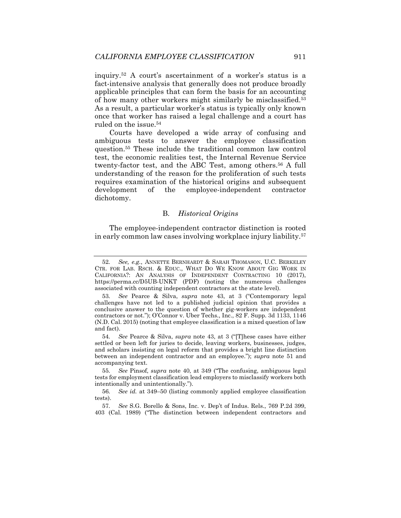inquiry.52 A court's ascertainment of a worker's status is a fact-intensive analysis that generally does not produce broadly applicable principles that can form the basis for an accounting of how many other workers might similarly be misclassified.53 As a result, a particular worker's status is typically only known once that worker has raised a legal challenge and a court has ruled on the issue.<sup>54</sup>

Courts have developed a wide array of confusing and ambiguous tests to answer the employee classification question.55 These include the traditional common law control test, the economic realities test, the Internal Revenue Service twenty-factor test, and the ABC Test, among others.56 A full understanding of the reason for the proliferation of such tests requires examination of the historical origins and subsequent development of the employee-independent contractor dichotomy.

# B. *Historical Origins*

The employee-independent contractor distinction is rooted in early common law cases involving workplace injury liability.57

<sup>52</sup>*. See, e.g.*, ANNETTE BERNHARDT & SARAH THOMASON, U.C. BERKELEY CTR. FOR LAB. RSCH. & EDUC., WHAT DO WE KNOW ABOUT GIG WORK IN CALIFORNIA?: AN ANALYSIS OF INDEPENDENT CONTRACTING 10 (2017), https://perma.cc/D5UB-UNKT (PDF) (noting the numerous challenges associated with counting independent contractors at the state level).

<sup>53</sup>*. See* Pearce & Silva, *supra* note 43, at 3 ("Contemporary legal challenges have not led to a published judicial opinion that provides a conclusive answer to the question of whether gig-workers are independent contractors or not."); O'Connor v. Uber Techs., Inc., 82 F. Supp. 3d 1133, 1146 (N.D. Cal. 2015) (noting that employee classification is a mixed question of law and fact).

<sup>54</sup>*. See* Pearce & Silva, *supra* note 43, at 3 ("[T]hese cases have either settled or been left for juries to decide, leaving workers, businesses, judges, and scholars insisting on legal reform that provides a bright line distinction between an independent contractor and an employee."); *supra* note 51 and accompanying text.

<sup>55</sup>*. See* Pinsof, *supra* note 40, at 349 ("The confusing, ambiguous legal tests for employment classification lead employers to misclassify workers both intentionally and unintentionally.").

<sup>56</sup>*. See id.* at 349–50 (listing commonly applied employee classification tests).

<sup>57</sup>*. See* S.G. Borello & Sons, Inc. v. Dep't of Indus. Rels., 769 P.2d 399, 403 (Cal. 1989) ("The distinction between independent contractors and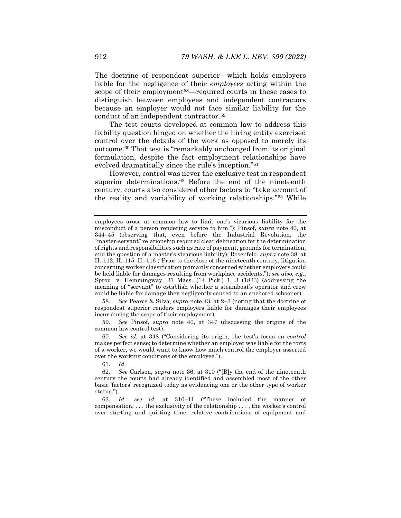The doctrine of respondeat superior—which holds employers liable for the negligence of their *employees* acting within the scope of their employment<sup>58</sup>—required courts in these cases to distinguish between employees and independent contractors because an employer would not face similar liability for the conduct of an independent contractor.59

The test courts developed at common law to address this liability question hinged on whether the hiring entity exercised control over the details of the work as opposed to merely its outcome.60 That test is "remarkably unchanged from its original formulation, despite the fact employment relationships have evolved dramatically since the rule's inception."61

However, control was never the exclusive test in respondeat superior determinations.<sup>62</sup> Before the end of the nineteenth century, courts also considered other factors to "take account of the reality and variability of working relationships."63 While

58*. See* Pearce & Silva, *supra* note 43, at 2–3 (noting that the doctrine of respondeat superior renders employers liable for damages their employees incur during the scope of their employment).

59*. See* Pinsof, *supra* note 40, at 347 (discussing the origins of the common law control test).

60*. See id.* at 348 ("Considering its origin, the test's focus on *control* makes perfect sense; to determine whether an employer was liable for the torts of a worker, we would want to know how much control the employer asserted over the working conditions of the employee.").

61*. Id.*

63*. Id.*; *see id.* at 310–11 ("These included the manner of compensation, . . . the exclusivity of the relationship . . . , the worker's control over starting and quitting time, relative contributions of equipment and

employees arose at common law to limit one's vicarious liability for the misconduct of a person rendering service to him."); Pinsof, *supra* note 40, at 344–45 (observing that, even before the Industrial Revolution, the "master-servant" relationship required clear delineation for the determination of rights and responsibilities such as rate of payment, grounds for termination, and the question of a master's vicarious liability); Rosenfeld, *supra* note 38, at II.-112, II.-115–II.-116 ("Prior to the close of the nineteenth century, litigation concerning worker classification primarily concerned whether employers could be held liable for damages resulting from workplace accidents."); *see also, e.g.*, Sproul v. Hemmingway, 31 Mass. (14 Pick.) 1, 3 (1833) (addressing the meaning of "servant" to establish whether a steamboat's operator and crew could be liable for damage they negligently caused to an anchored schooner).

<sup>62</sup>*. See* Carlson, *supra* note 36, at 310 ("[B]y the end of the nineteenth century the courts had already identified and assembled most of the other basic 'factors' recognized today as evidencing one or the other type of worker status.").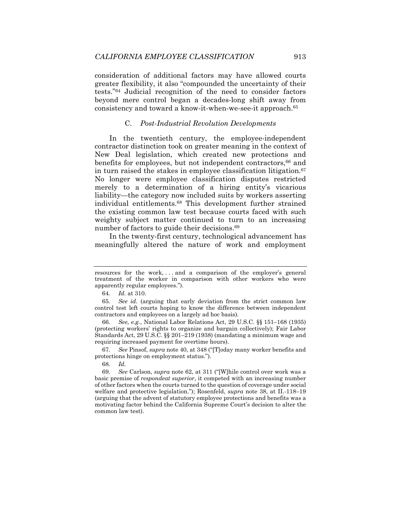consideration of additional factors may have allowed courts greater flexibility, it also "compounded the uncertainty of their tests."64 Judicial recognition of the need to consider factors beyond mere control began a decades-long shift away from consistency and toward a know-it-when-we-see-it approach.65

# C. *Post-Industrial Revolution Developments*

In the twentieth century, the employee-independent contractor distinction took on greater meaning in the context of New Deal legislation, which created new protections and benefits for employees, but not independent contractors,<sup>66</sup> and in turn raised the stakes in employee classification litigation.<sup>67</sup> No longer were employee classification disputes restricted merely to a determination of a hiring entity's vicarious liability—the category now included suits by workers asserting individual entitlements.68 This development further strained the existing common law test because courts faced with such weighty subject matter continued to turn to an increasing number of factors to guide their decisions.<sup>69</sup>

In the twenty-first century, technological advancement has meaningfully altered the nature of work and employment

66*. See, e.g.*, National Labor Relations Act, 29 U.S.C. §§ 151–168 (1935) (protecting workers' rights to organize and bargain collectively); Fair Labor Standards Act, 29 U.S.C. §§ 201–219 (1938) (mandating a minimum wage and requiring increased payment for overtime hours).

resources for the work, . . . and a comparison of the employer's general treatment of the worker in comparison with other workers who were apparently regular employees.").

<sup>64</sup>*. Id.* at 310.

<sup>65</sup>*. See id.* (arguing that early deviation from the strict common law control test left courts hoping to know the difference between independent contractors and employees on a largely ad hoc basis).

<sup>67</sup>*. See* Pinsof, *supra* note 40, at 348 ("[T]oday many worker benefits and protections hinge on employment status.").

<sup>68</sup>*. Id.*

<sup>69</sup>*. See* Carlson, *supra* note 62, at 311 ("[W]hile control over work was a basic premise of *respondeat superior*, it competed with an increasing number of other factors when the courts turned to the question of coverage under social welfare and protective legislation."); Rosenfeld, *supra* note 38, at II.-118–19 (arguing that the advent of statutory employee protections and benefits was a motivating factor behind the California Supreme Court's decision to alter the common law test).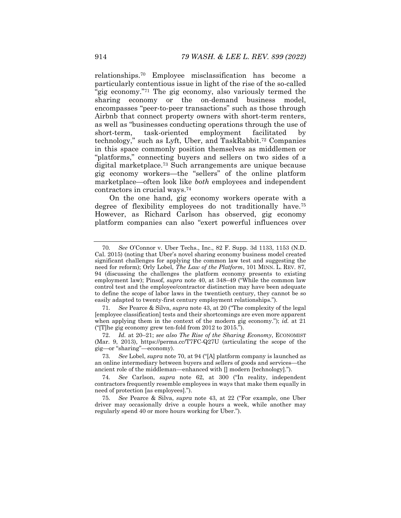relationships.70 Employee misclassification has become a particularly contentious issue in light of the rise of the so-called "gig economy."<sup>71</sup> The gig economy, also variously termed the sharing economy or the on-demand business model, encompasses "peer-to-peer transactions" such as those through Airbnb that connect property owners with short-term renters, as well as "businesses conducting operations through the use of short-term, task-oriented employment facilitated by technology," such as Lyft, Uber, and TaskRabbit.72 Companies in this space commonly position themselves as middlemen or "platforms," connecting buyers and sellers on two sides of a digital marketplace.73 Such arrangements are unique because gig economy workers—the "sellers" of the online platform marketplace—often look like *both* employees and independent contractors in crucial ways.74

On the one hand, gig economy workers operate with a degree of flexibility employees do not traditionally have.75 However, as Richard Carlson has observed, gig economy platform companies can also "exert powerful influences over

<sup>70</sup>*. See* O'Connor v. Uber Techs., Inc., 82 F. Supp. 3d 1133, 1153 (N.D. Cal. 2015) (noting that Uber's novel sharing economy business model created significant challenges for applying the common law test and suggesting the need for reform); Orly Lobel, *The Law of the Platform*, 101 MINN. L. REV. 87, 94 (discussing the challenges the platform economy presents to existing employment law); Pinsof, *supra* note 40, at 348–49 ("While the common law control test and the employee/contractor distinction may have been adequate to define the scope of labor laws in the twentieth century, they cannot be so easily adapted to twenty-first century employment relationships.").

<sup>71</sup>*. See* Pearce & Silva, *supra* note 43, at 20 ("The complexity of the legal [employee classification] tests and their shortcomings are even more apparent when applying them in the context of the modern gig economy."); *id.* at 21 ("[T]he gig economy grew ten-fold from 2012 to 2015.").

 <sup>72.</sup> *Id.* at 20–21; *see also The Rise of the Sharing Economy*, ECONOMIST (Mar. 9, 2013), https://perma.cc/T7FC-Q27U (articulating the scope of the gig—or "sharing"—economy).

<sup>73</sup>*. See* Lobel, *supra* note 70, at 94 ("[A] platform company is launched as an online intermediary between buyers and sellers of goods and services—the ancient role of the middleman—enhanced with  $\Box$  modern [technology].").

<sup>74</sup>*. See* Carlson, *supra* note 62, at 300 ("In reality, independent contractors frequently resemble employees in ways that make them equally in need of protection [as employees].").

<sup>75</sup>*. See* Pearce & Silva, *supra* note 43, at 22 ("For example, one Uber driver may occasionally drive a couple hours a week, while another may regularly spend 40 or more hours working for Uber.").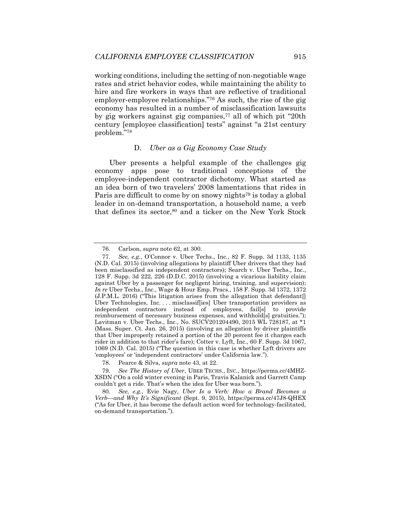working conditions, including the setting of non-negotiable wage rates and strict behavior codes, while maintaining the ability to hire and fire workers in ways that are reflective of traditional employer-employee relationships."76 As such, the rise of the gig economy has resulted in a number of misclassification lawsuits by gig workers against gig companies,77 all of which pit "20th century [employee classification] tests" against "a 21st century problem."78

#### D. *Uber as a Gig Economy Case Study*

Uber presents a helpful example of the challenges gig economy apps pose to traditional conceptions of the employee-independent contractor dichotomy. What started as an idea born of two travelers' 2008 lamentations that rides in Paris are difficult to come by on snowy nights<sup>79</sup> is today a global leader in on-demand transportation, a household name, a verb that defines its sector,<sup>80</sup> and a ticker on the New York Stock

 <sup>76.</sup> Carlson, *supra* note 62, at 300.

<sup>77</sup>*. See, e.g.*, O'Connor v. Uber Techs., Inc., 82 F. Supp. 3d 1133, 1135 (N.D. Cal. 2015) (involving allegations by plaintiff Uber drivers that they had been misclassified as independent contractors); Search v. Uber Techs., Inc., 128 F. Supp. 3d 222, 226 (D.D.C. 2015) (involving a vicarious liability claim against Uber by a passenger for negligent hiring, training, and supervision); *In re* Uber Techs., Inc., Wage & Hour Emp. Pracs., 158 F. Supp. 3d 1372, 1372 (J.P.M.L. 2016) ("This litigation arises from the allegation that defendant[] Uber Technologies, Inc. . . . misclassif[ies] Uber transportation providers as independent contractors instead of employees, fail[s] to provide reimbursement of necessary business expenses, and withhold[s] gratuities."); Lavitman v. Uber Techs., Inc., No. SUCV201204490, 2015 WL 728187, at \*1 (Mass. Super. Ct. Jan. 26, 2015) (involving an allegation by driver plaintiffs that Uber improperly retained a portion of the 20 percent fee it charges each rider in addition to that rider's fare); Cotter v. Lyft, Inc., 60 F. Supp. 3d 1067, 1069 (N.D. Cal. 2015) ("The question in this case is whether Lyft drivers are 'employees' or 'independent contractors' under California law.").

 <sup>78.</sup> Pearce & Silva, *supra* note 43, at 22.

<sup>79</sup>*. See The History of Uber*, UBER TECHS., INC., https://perma.cc/4MHZ-XSDN ("On a cold winter evening in Paris, Travis Kalanick and Garrett Camp couldn't get a ride. That's when the idea for Uber was born.").

<sup>80</sup>*. See, e.g.*, Evie Nagy, *Uber Is a Verb: How a Brand Becomes a Verb—and Why It's Significant* (Sept. 9, 2015), https://perma.cc/47J8-QHEX ("As for Uber, it has become the default action word for technology-facilitated, on-demand transportation.").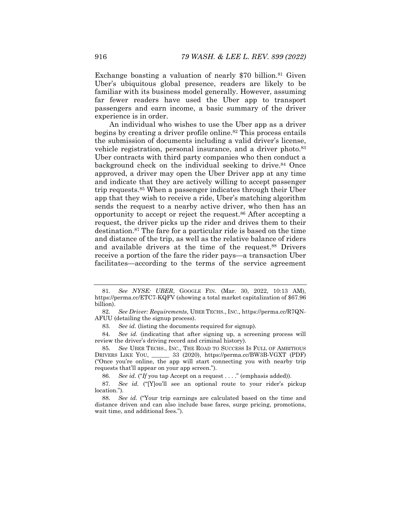Exchange boasting a valuation of nearly \$70 billion.<sup>81</sup> Given Uber's ubiquitous global presence, readers are likely to be familiar with its business model generally. However, assuming far fewer readers have used the Uber app to transport passengers and earn income, a basic summary of the driver experience is in order.

An individual who wishes to use the Uber app as a driver begins by creating a driver profile online.<sup>82</sup> This process entails the submission of documents including a valid driver's license, vehicle registration, personal insurance, and a driver photo.<sup>83</sup> Uber contracts with third party companies who then conduct a background check on the individual seeking to drive.<sup>84</sup> Once approved, a driver may open the Uber Driver app at any time and indicate that they are actively willing to accept passenger trip requests.85 When a passenger indicates through their Uber app that they wish to receive a ride, Uber's matching algorithm sends the request to a nearby active driver, who then has an opportunity to accept or reject the request.86 After accepting a request, the driver picks up the rider and drives them to their destination.87 The fare for a particular ride is based on the time and distance of the trip, as well as the relative balance of riders and available drivers at the time of the request.<sup>88</sup> Drivers receive a portion of the fare the rider pays—a transaction Uber facilitates—according to the terms of the service agreement

86*. See id.* ("*If* you tap Accept on a request . . . ." (emphasis added)).

87*. See id.* ("[Y]ou'll see an optional route to your rider's pickup location.").

<sup>81</sup>*. See NYSE: UBER*, GOOGLE FIN. (Mar. 30, 2022, 10:13 AM), https://perma.cc/ETC7-KQFV (showing a total market capitalization of \$67.96 billion).

<sup>82</sup>*. See Driver: Requirements*, UBER TECHS., INC., https://perma.cc/R7QN-AFUU (detailing the signup process).

<sup>83</sup>*. See id.* (listing the documents required for signup).

<sup>84</sup>*. See id.* (indicating that after signing up, a screening process will review the driver's driving record and criminal history).

<sup>85</sup>*. See* UBER TECHS., INC., THE ROAD TO SUCCESS IS FULL OF AMBITIOUS DRIVERS LIKE YOU, *\_\_\_\_\_\_* 33 (2020), https://perma.cc/BW3B-VGXT (PDF) ("Once you're online, the app will start connecting you with nearby trip requests that'll appear on your app screen.").

<sup>88</sup>*. See id.* ("Your trip earnings are calculated based on the time and distance driven and can also include base fares, surge pricing, promotions, wait time, and additional fees.").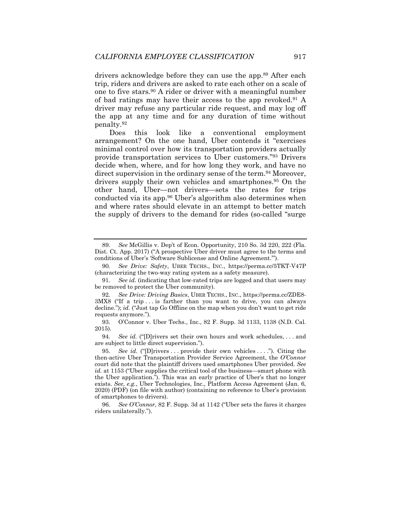drivers acknowledge before they can use the app.<sup>89</sup> After each trip, riders and drivers are asked to rate each other on a scale of one to five stars.90 A rider or driver with a meaningful number of bad ratings may have their access to the app revoked.91 A driver may refuse any particular ride request, and may log off the app at any time and for any duration of time without penalty.92

Does this look like a conventional employment arrangement? On the one hand, Uber contends it "exercises minimal control over how its transportation providers actually provide transportation services to Uber customers."93 Drivers decide when, where, and for how long they work, and have no direct supervision in the ordinary sense of the term.<sup>94</sup> Moreover, drivers supply their own vehicles and smartphones.<sup>95</sup> On the other hand, Uber—not drivers—sets the rates for trips conducted via its app.96 Uber's algorithm also determines when and where rates should elevate in an attempt to better match the supply of drivers to the demand for rides (so-called "surge

<sup>89</sup>*. See* McGillis v. Dep't of Econ. Opportunity, 210 So. 3d 220, 222 (Fla. Dist. Ct. App. 2017) ("A prospective Uber driver must agree to the terms and conditions of Uber's 'Software Sublicense and Online Agreement.'").

<sup>90</sup>*. See Drive: Safety*, UBER TECHS., INC., https://perma.cc/5TKT-V47P (characterizing the two-way rating system as a safety measure).

<sup>91</sup>*. See id.* (indicating that low-rated trips are logged and that users may be removed to protect the Uber community).

<sup>92</sup>*. See Drive: Driving Basics*, UBER TECHS., INC., https://perma.cc/ZDE8- 3MX8 ("If a trip . . . is farther than you want to drive, you can always decline."); *id.* ("Just tap Go Offline on the map when you don't want to get ride requests anymore.").

 <sup>93.</sup> O'Connor v. Uber Techs., Inc., 82 F. Supp. 3d 1133, 1138 (N.D. Cal. 2015).

<sup>94</sup>*. See id.* ("[D]rivers set their own hours and work schedules, . . . and are subject to little direct supervision.").

<sup>95</sup>*. See id.* ("[D]rivers . . . provide their own vehicles . . . ."). Citing the then-active Uber Transportation Provider Service Agreement, the *O'Connor* court did note that the plaintiff drivers used smartphones Uber provided. *See id.* at 1153 ("Uber supplies the critical tool of the business—smart phone with the Uber application."). This was an early practice of Uber's that no longer exists. *See, e.g.*, Uber Technologies, Inc., Platform Access Agreement (Jan. 6, 2020) (PDF) (on file with author) (containing no reference to Uber's provision of smartphones to drivers).

<sup>96</sup>*. See O'Connor*, 82 F. Supp. 3d at 1142 ("Uber sets the fares it charges riders unilaterally.").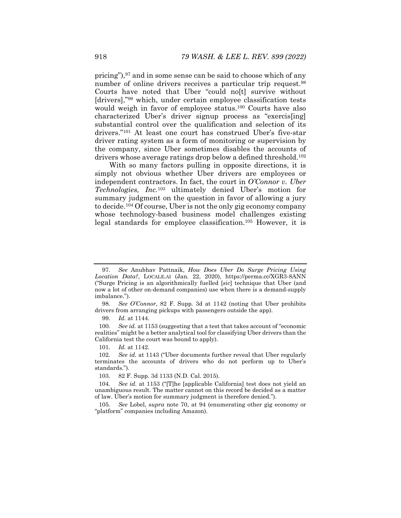pricing"),97 and in some sense can be said to choose which of any number of online drivers receives a particular trip request.<sup>98</sup> Courts have noted that Uber "could no[t] survive without [drivers],"99 which, under certain employee classification tests would weigh in favor of employee status.100 Courts have also characterized Uber's driver signup process as "exercis[ing] substantial control over the qualification and selection of its drivers."101 At least one court has construed Uber's five-star driver rating system as a form of monitoring or supervision by the company, since Uber sometimes disables the accounts of drivers whose average ratings drop below a defined threshold.102

With so many factors pulling in opposite directions, it is simply not obvious whether Uber drivers are employees or independent contractors. In fact, the court in *O'Connor v. Uber Technologies, Inc.*103 ultimately denied Uber's motion for summary judgment on the question in favor of allowing a jury to decide.104 Of course, Uber is not the only gig economy company whose technology-based business model challenges existing legal standards for employee classification.105 However, it is

100*. See id.* at 1153 (suggesting that a test that takes account of "economic realities" might be a better analytical tool for classifying Uber drivers than the California test the court was bound to apply).

<sup>97</sup>*. See* Anubhav Pattnaik, *How Does Uber Do Surge Pricing Using Location Data?*, LOCALE.AI (Jan. 22, 2020), https://perma.cc/XGR3-8ANN ("Surge Pricing is an algorithmically fuelled [*sic*] technique that Uber (and now a lot of other on-demand companies) use when there is a demand-supply imbalance.").

<sup>98</sup>*. See O'Connor*, 82 F. Supp. 3d at 1142 (noting that Uber prohibits drivers from arranging pickups with passengers outside the app).

<sup>99</sup>*. Id.* at 1144.

<sup>101</sup>*. Id.* at 1142.

<sup>102</sup>*. See id.* at 1143 ("Uber documents further reveal that Uber regularly terminates the accounts of drivers who do not perform up to Uber's standards.").

 <sup>103. 82</sup> F. Supp. 3d 1133 (N.D. Cal. 2015).

<sup>104</sup>*. See id.* at 1153 ("[T]he [applicable California] test does not yield an unambiguous result. The matter cannot on this record be decided as a matter of law. Uber's motion for summary judgment is therefore denied.").

<sup>105</sup>*. See* Lobel, *supra* note 70, at 94 (enumerating other gig economy or "platform" companies including Amazon).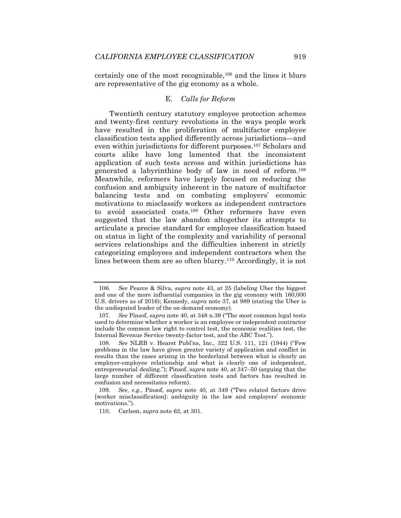certainly one of the most recognizable,106 and the lines it blurs are representative of the gig economy as a whole.

## E. *Calls for Reform*

Twentieth century statutory employee protection schemes and twenty-first century revolutions in the ways people work have resulted in the proliferation of multifactor employee classification tests applied differently across jurisdictions—and even within jurisdictions for different purposes.107 Scholars and courts alike have long lamented that the inconsistent application of such tests across and within jurisdictions has generated a labyrinthine body of law in need of reform.108 Meanwhile, reformers have largely focused on reducing the confusion and ambiguity inherent in the nature of multifactor balancing tests and on combating employers' economic motivations to misclassify workers as independent contractors to avoid associated costs.109 Other reformers have even suggested that the law abandon altogether its attempts to articulate a precise standard for employee classification based on status in light of the complexity and variability of personal services relationships and the difficulties inherent in strictly categorizing employees and independent contractors when the lines between them are so often blurry.<sup>110</sup> Accordingly, it is not

<sup>106</sup>*. See* Pearce & Silva, *supra* note 43, at 25 (labeling Uber the biggest and one of the more influential companies in the gig economy with 160,000 U.S. drivers as of 2016); Kennedy, *supra* note 37, at 989 (stating the Uber is the undisputed leader of the on-demand economy).

<sup>107</sup>*. See* Pinsof, *supra* note 40, at 348 n.39 ("The most common legal tests used to determine whether a worker is an employee or independent contractor include the common law right to control test, the economic realities test, the Internal Revenue Service twenty-factor test, and the ABC Test.").

<sup>108</sup>*. See* NLRB v. Hearst Publ'ns, Inc., 322 U.S. 111, 121 (1944) ("Few problems in the law have given greater variety of application and conflict in results than the cases arising in the borderland between what is clearly an employer-employee relationship and what is clearly one of independent, entrepreneurial dealing."); Pinsof, *supra* note 40, at 347–50 (arguing that the large number of different classification tests and factors has resulted in confusion and necessitates reform).

<sup>109</sup>*. See, e.g.*, Pinsof, *supra* note 40, at 349 ("Two related factors drive [worker misclassification]: ambiguity in the law and employers' economic motivations.").

 <sup>110.</sup> Carlson, *supra* note 62, at 301.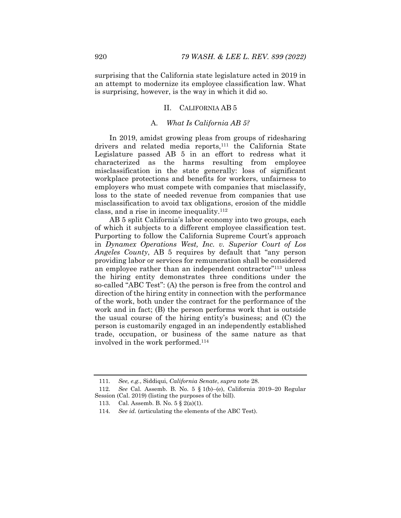surprising that the California state legislature acted in 2019 in an attempt to modernize its employee classification law. What is surprising, however, is the way in which it did so.

# II. CALIFORNIA AB 5

# A. *What Is California AB 5?*

In 2019, amidst growing pleas from groups of ridesharing drivers and related media reports,<sup>111</sup> the California State Legislature passed AB 5 in an effort to redress what it characterized as the harms resulting from employee misclassification in the state generally: loss of significant workplace protections and benefits for workers, unfairness to employers who must compete with companies that misclassify, loss to the state of needed revenue from companies that use misclassification to avoid tax obligations, erosion of the middle class, and a rise in income inequality.112

AB 5 split California's labor economy into two groups, each of which it subjects to a different employee classification test. Purporting to follow the California Supreme Court's approach in *Dynamex Operations West, Inc. v. Superior Court of Los Angeles County*, AB 5 requires by default that "any person providing labor or services for remuneration shall be considered an employee rather than an independent contractor"113 unless the hiring entity demonstrates three conditions under the so-called "ABC Test": (A) the person is free from the control and direction of the hiring entity in connection with the performance of the work, both under the contract for the performance of the work and in fact; (B) the person performs work that is outside the usual course of the hiring entity's business; and (C) the person is customarily engaged in an independently established trade, occupation, or business of the same nature as that involved in the work performed.114

<sup>111</sup>*. See, e.g.*, Siddiqui, *California Senate*, *supra* note 28.

<sup>112</sup>*. See* Cal. Assemb. B. No. 5 § 1(b)–(e), California 2019–20 Regular Session (Cal. 2019) (listing the purposes of the bill).

 <sup>113.</sup> Cal. Assemb. B. No. 5 § 2(a)(1).

<sup>114</sup>*. See id.* (articulating the elements of the ABC Test).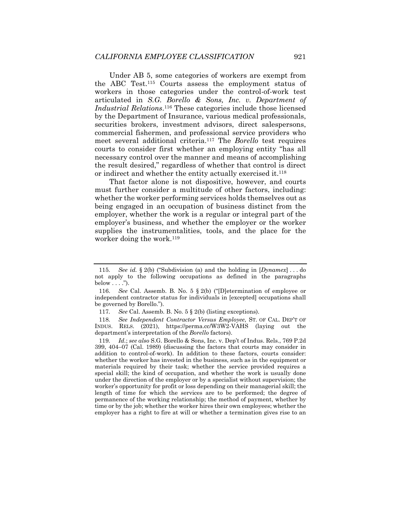Under AB 5, some categories of workers are exempt from the ABC Test.115 Courts assess the employment status of workers in those categories under the control-of-work test articulated in *S.G. Borello & Sons, Inc. v. Department of Industrial Relations*.116 These categories include those licensed by the Department of Insurance, various medical professionals, securities brokers, investment advisors, direct salespersons, commercial fishermen, and professional service providers who meet several additional criteria.117 The *Borello* test requires courts to consider first whether an employing entity "has all necessary control over the manner and means of accomplishing the result desired," regardless of whether that control is direct or indirect and whether the entity actually exercised it.118

That factor alone is not dispositive, however, and courts must further consider a multitude of other factors, including: whether the worker performing services holds themselves out as being engaged in an occupation of business distinct from the employer, whether the work is a regular or integral part of the employer's business, and whether the employer or the worker supplies the instrumentalities, tools, and the place for the worker doing the work.<sup>119</sup>

<sup>115</sup>*. See id.* § 2(b) ("Subdivision (a) and the holding in [*Dynamex*] . . . do not apply to the following occupations as defined in the paragraphs  $below \ldots$ .").

 <sup>116.</sup> *See* Cal. Assemb. B. No. 5 § 2(b) ("[D]etermination of employee or independent contractor status for individuals in [excepted] occupations shall be governed by Borello.").

<sup>117</sup>*. See* Cal. Assemb. B. No. 5 § 2(b) (listing exceptions).

<sup>118</sup>*. See Independent Contractor Versus Employee*, ST. OF CAL. DEP'T OF INDUS. RELS. (2021), https://perma.cc/W3W2-VAHS (laying out the department's interpretation of the *Borello* factors).

<sup>119</sup>*. Id.*; *see also* S.G. Borello & Sons, Inc. v. Dep't of Indus. Rels., 769 P.2d 399, 404–07 (Cal. 1989) (discussing the factors that courts may consider in addition to control-of-work). In addition to these factors, courts consider: whether the worker has invested in the business, such as in the equipment or materials required by their task; whether the service provided requires a special skill; the kind of occupation, and whether the work is usually done under the direction of the employer or by a specialist without supervision; the worker's opportunity for profit or loss depending on their managerial skill; the length of time for which the services are to be performed; the degree of permanence of the working relationship; the method of payment, whether by time or by the job; whether the worker hires their own employees; whether the employer has a right to fire at will or whether a termination gives rise to an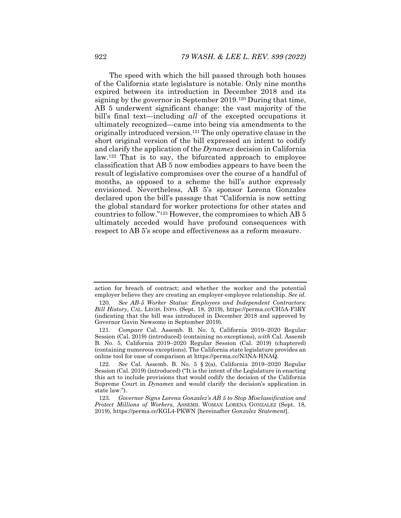The speed with which the bill passed through both houses of the California state legislature is notable. Only nine months expired between its introduction in December 2018 and its signing by the governor in September 2019.120 During that time, AB 5 underwent significant change: the vast majority of the bill's final text—including *all* of the excepted occupations it ultimately recognized—came into being via amendments to the originally introduced version.121 The only operative clause in the short original version of the bill expressed an intent to codify and clarify the application of the *Dynamex* decision in California law.122 That is to say, the bifurcated approach to employee classification that AB 5 now embodies appears to have been the result of legislative compromises over the course of a handful of months, as opposed to a scheme the bill's author expressly envisioned. Nevertheless, AB 5's sponsor Lorena Gonzales declared upon the bill's passage that "California is now setting the global standard for worker protections for other states and countries to follow."123 However, the compromises to which AB 5 ultimately acceded would have profound consequences with respect to AB 5's scope and effectiveness as a reform measure.

action for breach of contract; and whether the worker and the potential employer believe they are creating an employer-employee relationship. *See id.*

<sup>120</sup>*. See AB-5 Worker Status: Employees and Independent Contractors: Bill History*, CAL. LEGIS. INFO. (Sept. 18, 2019), https://perma.cc/CH5A-F3RY (indicating that the bill was introduced in December 2018 and approved by Governor Gavin Newsome in September 2019).

<sup>121</sup>*. Compare* Cal. Assemb. B. No. 5, California 2019–2020 Regular Session (Cal. 2019) (introduced) (containing no exceptions), *with* Cal. Assemb B. No. 5, California 2019–2020 Regular Session (Cal. 2019) (chaptered) (containing numerous exceptions). The California state legislature provides an online tool for ease of comparison at https://perma.cc/N3NA-HNAQ.

<sup>122</sup>*. See* Cal. Assemb. B. No. 5 § 2(a), California 2019–2020 Regular Session (Cal. 2019) (introduced) ("It is the intent of the Legislature in enacting this act to include provisions that would codify the decision of the California Supreme Court in *Dynamex* and would clarify the decision's application in state law.").

<sup>123</sup>*. Governor Signs Lorena Gonzalez's AB 5 to Stop Misclassification and Protect Millions of Workers*, ASSEMB. WOMAN LORENA GONZALEZ (Sept. 18, 2019), https://perma.cc/KGL4-PKWN [hereinafter *Gonzalez Statement*].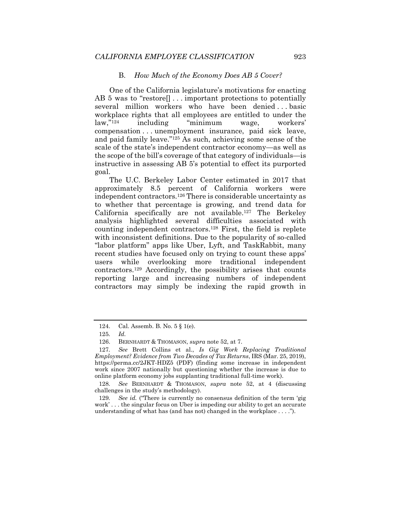#### B. *How Much of the Economy Does AB 5 Cover?*

One of the California legislature's motivations for enacting AB 5 was to "restore[] . . . important protections to potentially several million workers who have been denied...basic workplace rights that all employees are entitled to under the law,"124 including "minimum wage, workers' compensation . . . unemployment insurance, paid sick leave, and paid family leave."125 As such, achieving some sense of the scale of the state's independent contractor economy—as well as the scope of the bill's coverage of that category of individuals—is instructive in assessing AB 5's potential to effect its purported goal.

The U.C. Berkeley Labor Center estimated in 2017 that approximately 8.5 percent of California workers were independent contractors.126 There is considerable uncertainty as to whether that percentage is growing, and trend data for California specifically are not available.127 The Berkeley analysis highlighted several difficulties associated with counting independent contractors.128 First, the field is replete with inconsistent definitions. Due to the popularity of so-called "labor platform" apps like Uber, Lyft, and TaskRabbit, many recent studies have focused only on trying to count these apps' users while overlooking more traditional independent contractors.129 Accordingly, the possibility arises that counts reporting large and increasing numbers of independent contractors may simply be indexing the rapid growth in

128*. See* BERNHARDT & THOMASON, *supra* note 52, at 4 (discussing challenges in the study's methodology).

129*. See id.* ("There is currently no consensus definition of the term 'gig work' . . . the singular focus on Uber is impeding our ability to get an accurate understanding of what has (and has not) changed in the workplace . . . .").

 <sup>124.</sup> Cal. Assemb. B. No. 5 § 1(e).

<sup>125</sup>*. Id.*

 <sup>126.</sup> BERNHARDT & THOMASON, *supra* note 52, at 7.

<sup>127</sup>*. See* Brett Collins et al., *Is Gig Work Replacing Traditional Employment? Evidence from Two Decades of Tax Returns*, IRS (Mar. 25, 2019), https://perma.cc/2JKT-HDZ5 (PDF) (finding some increase in independent work since 2007 nationally but questioning whether the increase is due to online platform economy jobs supplanting traditional full-time work).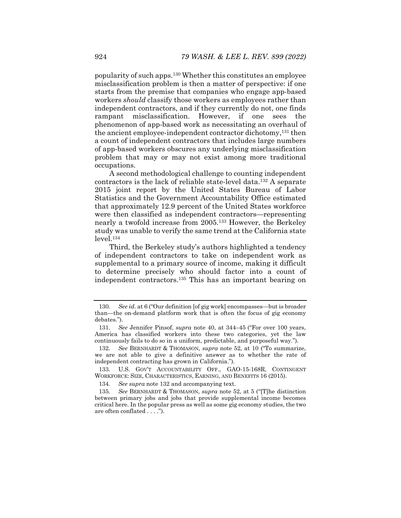popularity of such apps.130 Whether this constitutes an employee misclassification problem is then a matter of perspective: if one starts from the premise that companies who engage app-based workers *should* classify those workers as employees rather than independent contractors, and if they currently do not, one finds rampant misclassification. However, if one sees the phenomenon of app-based work as necessitating an overhaul of the ancient employee-independent contractor dichotomy,131 then a count of independent contractors that includes large numbers of app-based workers obscures any underlying misclassification problem that may or may not exist among more traditional occupations.

A second methodological challenge to counting independent contractors is the lack of reliable state-level data.132 A separate 2015 joint report by the United States Bureau of Labor Statistics and the Government Accountability Office estimated that approximately 12.9 percent of the United States workforce were then classified as independent contractors—representing nearly a twofold increase from 2005.133 However, the Berkeley study was unable to verify the same trend at the California state level.134

Third, the Berkeley study's authors highlighted a tendency of independent contractors to take on independent work as supplemental to a primary source of income, making it difficult to determine precisely who should factor into a count of independent contractors.135 This has an important bearing on

<sup>130</sup>*. See id.* at 6 ("Our definition [of gig work] encompasses—but is broader than—the on-demand platform work that is often the focus of gig economy debates.").

<sup>131</sup>*. See* Jennifer Pinsof, *supra* note 40, at 344–45 ("For over 100 years, America has classified workers into these two categories, yet the law continuously fails to do so in a uniform, predictable, and purposeful way.").

<sup>132</sup>*. See* BERNHARDT & THOMASON, *supra* note 52, at 10 ("To summarize, we are not able to give a definitive answer as to whether the rate of independent contracting has grown in California.").

 <sup>133.</sup> U.S. GOV'T ACCOUNTABILITY OFF., GAO-15-168R, CONTINGENT WORKFORCE: SIZE, CHARACTERISTICS, EARNING, AND BENEFITS 16 (2015).

<sup>134</sup>*. See supra* note 132 and accompanying text.

<sup>135</sup>*. See* BERNHARDT & THOMASON, *supra* note 52, at 5 ("[T]he distinction between primary jobs and jobs that provide supplemental income becomes critical here. In the popular press as well as some gig economy studies, the two are often conflated . . . .").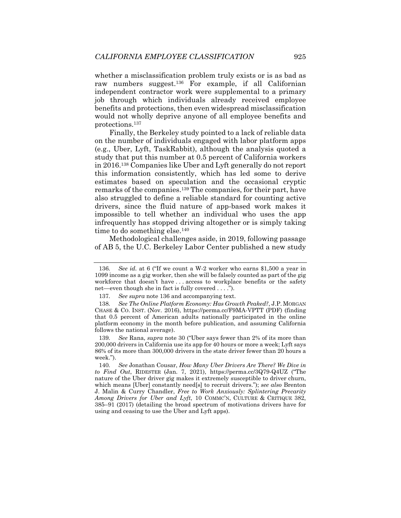whether a misclassification problem truly exists or is as bad as raw numbers suggest.136 For example, if all Californian independent contractor work were supplemental to a primary job through which individuals already received employee benefits and protections, then even widespread misclassification would not wholly deprive anyone of all employee benefits and protections.137

Finally, the Berkeley study pointed to a lack of reliable data on the number of individuals engaged with labor platform apps (e.g., Uber, Lyft, TaskRabbit), although the analysis quoted a study that put this number at 0.5 percent of California workers in 2016.138 Companies like Uber and Lyft generally do not report this information consistently, which has led some to derive estimates based on speculation and the occasional cryptic remarks of the companies.139 The companies, for their part, have also struggled to define a reliable standard for counting active drivers, since the fluid nature of app-based work makes it impossible to tell whether an individual who uses the app infrequently has stopped driving altogether or is simply taking time to do something else.<sup>140</sup>

Methodological challenges aside, in 2019, following passage of AB 5, the U.C. Berkeley Labor Center published a new study

<sup>136</sup>*. See id.* at 6 ("If we count a W-2 worker who earns \$1,500 a year in 1099 income as a gig worker, then she will be falsely counted as part of the gig workforce that doesn't have . . . access to workplace benefits or the safety net—even though she in fact is fully covered . . . .").

<sup>137</sup>*. See supra* note 136 and accompanying text.

<sup>138</sup>*. See The Online Platform Economy: Has Growth Peaked?*, J.P. MORGAN CHASE & CO. INST. (Nov. 2016), https://perma.cc/F9MA-VPTT (PDF) (finding that 0.5 percent of American adults nationally participated in the online platform economy in the month before publication, and assuming California follows the national average).

<sup>139</sup>*. See* Rana, *supra* note 30 ("Uber says fewer than 2% of its more than 200,000 drivers in California use its app for 40 hours or more a week; Lyft says 86% of its more than 300,000 drivers in the state driver fewer than 20 hours a week.").

<sup>140</sup>*. See* Jonathan Cousar, *How Many Uber Drivers Are There? We Dive in to Find Out*, RIDESTER (Jan. 7, 2021), https://perma.cc/3Q79-Q4UZ ("The nature of the Uber driver gig makes it extremely susceptible to driver churn, which means [Uber] constantly need[s] to recruit drivers."); *see also* Brenton J. Malin & Curry Chandler, *Free to Work Anxiously: Splintering Precarity Among Drivers for Uber and Lyft*, 10 COMMC'N, CULTURE & CRITIQUE 382, 385–91 (2017) (detailing the broad spectrum of motivations drivers have for using and ceasing to use the Uber and Lyft apps).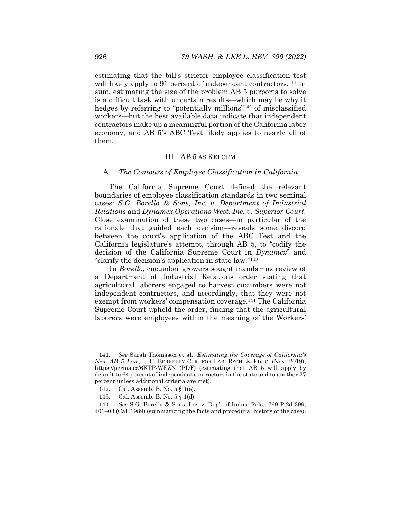estimating that the bill's stricter employee classification test will likely apply to 91 percent of independent contractors.<sup>141</sup> In sum, estimating the size of the problem AB 5 purports to solve is a difficult task with uncertain results—which may be why it hedges by referring to "potentially millions"<sup>142</sup> of misclassified workers—but the best available data indicate that independent contractors make up a meaningful portion of the California labor economy, and AB 5's ABC Test likely applies to nearly all of them.

#### III. AB 5 AS REFORM

#### A. *The Contours of Employee Classification in California*

The California Supreme Court defined the relevant boundaries of employee classification standards in two seminal cases: *S.G. Borello & Sons, Inc. v. Department of Industrial Relations* and *Dynamex Operations West, Inc. v. Superior Court*. Close examination of these two cases—in particular of the rationale that guided each decision—reveals some discord between the court's application of the ABC Test and the California legislature's attempt, through AB 5, to "codify the decision of the California Supreme Court in *Dynamex*" and "clarify the decision's application in state law."143

In *Borello*, cucumber growers sought mandamus review of a Department of Industrial Relations order stating that agricultural laborers engaged to harvest cucumbers were not independent contractors, and accordingly, that they were not exempt from workers' compensation coverage.144 The California Supreme Court upheld the order, finding that the agricultural laborers were employees within the meaning of the Workers'

<sup>141</sup>*. See* Sarah Thomason et al., *Estimating the Coverage of California's New AB 5 Law*, U.C. BERKELEY CTR. FOR LAB. RSCH. & EDUC. (Nov. 2019), https://perma.cc/6KTP-WEZN (PDF) (estimating that AB 5 will apply by default to 64 percent of independent contractors in the state and to another 27 percent unless additional criteria are met).

 <sup>142.</sup> Cal. Assemb. B. No. 5 § 1(e).

 <sup>143.</sup> Cal. Assemb. B. No. 5 § 1(d).

<sup>144</sup>*. See* S.G. Borello & Sons, Inc. v. Dep't of Indus. Rels., 769 P.2d 399, 401–03 (Cal. 1989) (summarizing the facts and procedural history of the case).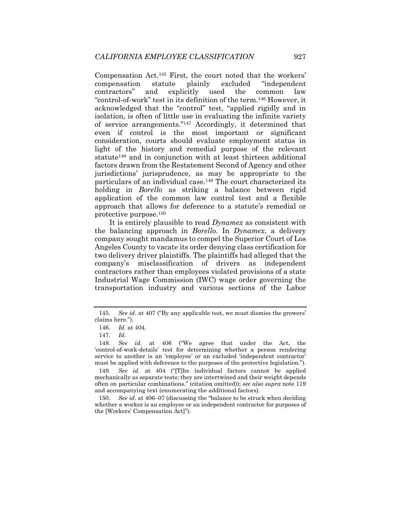Compensation Act.145 First, the court noted that the workers' compensation statute plainly excluded "independent contractors" and explicitly used the common law "control-of-work" test in its definition of the term.146 However, it acknowledged that the "control" test, "applied rigidly and in isolation, is often of little use in evaluating the infinite variety of service arrangements."147 Accordingly, it determined that even if control is the most important or significant consideration, courts should evaluate employment status in light of the history and remedial purpose of the relevant statute<sup>148</sup> and in conjunction with at least thirteen additional factors drawn from the Restatement Second of Agency and other jurisdictions' jurisprudence, as may be appropriate to the particulars of an individual case.149 The court characterized its holding in *Borello* as striking a balance between rigid application of the common law control test and a flexible approach that allows for deference to a statute's remedial or protective purpose.150

It is entirely plausible to read *Dynamex* as consistent with the balancing approach in *Borello*. In *Dynamex*, a delivery company sought mandamus to compel the Superior Court of Los Angeles County to vacate its order denying class certification for two delivery driver plaintiffs. The plaintiffs had alleged that the company's misclassification of drivers as independent contractors rather than employees violated provisions of a state Industrial Wage Commission (IWC) wage order governing the transportation industry and various sections of the Labor

<sup>145</sup>*. See id.* at 407 ("By any applicable test, we must dismiss the growers' claims here.").

<sup>146</sup>*. Id.* at 404.

<sup>147</sup>*. Id.*

<sup>148</sup>*. See id.* at 406 ("We agree that under the Act, the 'control-of-work-details' test for determining whether a person rendering service to another is an 'employee' or an excluded 'independent contractor' must be applied with deference to the purposes of the protective legislation.").

<sup>149</sup>*. See id.* at 404 ("[T]he individual factors cannot be applied mechanically as separate tests; they are intertwined and their weight depends often on particular combinations." (citation omitted)); *see also supra* note 119 and accompanying text (enumerating the additional factors).

<sup>150</sup>*. See id.* at 406–07 (discussing the "balance to be struck when deciding whether a worker is an employee or an independent contractor for purposes of the [Workers' Compensation Act]").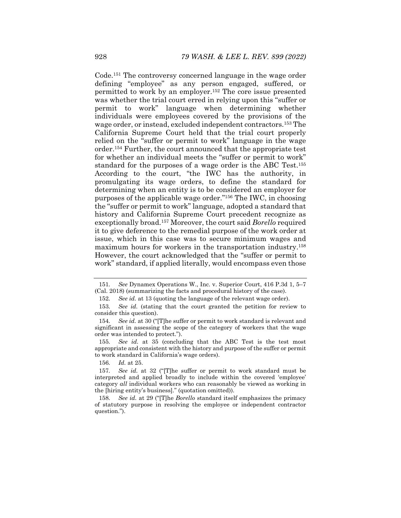Code.151 The controversy concerned language in the wage order defining "employee" as any person engaged, suffered, or permitted to work by an employer.152 The core issue presented was whether the trial court erred in relying upon this "suffer or permit to work" language when determining whether individuals were employees covered by the provisions of the wage order, or instead, excluded independent contractors.153 The California Supreme Court held that the trial court properly relied on the "suffer or permit to work" language in the wage order.154 Further, the court announced that the appropriate test for whether an individual meets the "suffer or permit to work" standard for the purposes of a wage order is the ABC Test.155 According to the court, "the IWC has the authority, in promulgating its wage orders, to define the standard for determining when an entity is to be considered an employer for purposes of the applicable wage order."156 The IWC, in choosing the "suffer or permit to work" language, adopted a standard that history and California Supreme Court precedent recognize as exceptionally broad.157 Moreover, the court said *Borello* required it to give deference to the remedial purpose of the work order at issue, which in this case was to secure minimum wages and maximum hours for workers in the transportation industry.158 However, the court acknowledged that the "suffer or permit to work" standard, if applied literally, would encompass even those

<sup>151</sup>*. See* Dynamex Operations W., Inc. v. Superior Court, 416 P.3d 1, 5–7 (Cal. 2018) (summarizing the facts and procedural history of the case).

<sup>152</sup>*. See id.* at 13 (quoting the language of the relevant wage order).

<sup>153</sup>*. See id.* (stating that the court granted the petition for review to consider this question).

<sup>154</sup>*. See id.* at 30 ("[T]he suffer or permit to work standard is relevant and significant in assessing the scope of the category of workers that the wage order was intended to protect.").

<sup>155</sup>*. See id.* at 35 (concluding that the ABC Test is the test most appropriate and consistent with the history and purpose of the suffer or permit to work standard in California's wage orders).

<sup>156</sup>*. Id.* at 25.

<sup>157</sup>*. See id.* at 32 ("[T]he suffer or permit to work standard must be interpreted and applied broadly to include within the covered 'employee' category *all* individual workers who can reasonably be viewed as working in the [hiring entity's business]." (quotation omitted)).

<sup>158</sup>*. See id.* at 29 ("[T]he *Borello* standard itself emphasizes the primacy of statutory purpose in resolving the employee or independent contractor question.").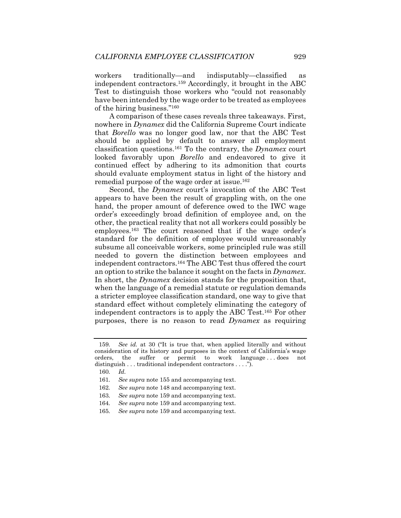workers traditionally—and indisputably—classified as independent contractors.159 Accordingly, it brought in the ABC Test to distinguish those workers who "could not reasonably have been intended by the wage order to be treated as employees of the hiring business."160

A comparison of these cases reveals three takeaways. First, nowhere in *Dynamex* did the California Supreme Court indicate that *Borello* was no longer good law, nor that the ABC Test should be applied by default to answer all employment classification questions.161 To the contrary, the *Dynamex* court looked favorably upon *Borello* and endeavored to give it continued effect by adhering to its admonition that courts should evaluate employment status in light of the history and remedial purpose of the wage order at issue.162

Second, the *Dynamex* court's invocation of the ABC Test appears to have been the result of grappling with, on the one hand, the proper amount of deference owed to the IWC wage order's exceedingly broad definition of employee and, on the other, the practical reality that not all workers could possibly be employees.163 The court reasoned that if the wage order's standard for the definition of employee would unreasonably subsume all conceivable workers, some principled rule was still needed to govern the distinction between employees and independent contractors.164 The ABC Test thus offered the court an option to strike the balance it sought on the facts in *Dynamex*. In short, the *Dynamex* decision stands for the proposition that, when the language of a remedial statute or regulation demands a stricter employee classification standard, one way to give that standard effect without completely eliminating the category of independent contractors is to apply the ABC Test.165 For other purposes, there is no reason to read *Dynamex* as requiring

<sup>159</sup>*. See id.* at 30 ("It is true that, when applied literally and without consideration of its history and purposes in the context of California's wage orders, the suffer or permit to work language . . . does not distinguish . . . traditional independent contractors . . . .").

<sup>160</sup>*. Id.* 

<sup>161</sup>*. See supra* note 155 and accompanying text.

<sup>162</sup>*. See supra* note 148 and accompanying text.

<sup>163</sup>*. See supra* note 159 and accompanying text.

<sup>164</sup>*. See supra* note 159 and accompanying text.

<sup>165</sup>*. See supra* note 159 and accompanying text.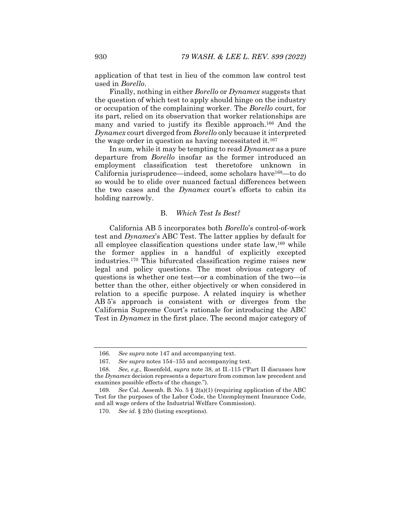application of that test in lieu of the common law control test used in *Borello*.

Finally, nothing in either *Borello* or *Dynamex* suggests that the question of which test to apply should hinge on the industry or occupation of the complaining worker. The *Borello* court, for its part, relied on its observation that worker relationships are many and varied to justify its flexible approach.<sup>166</sup> And the *Dynamex* court diverged from *Borello* only because it interpreted the wage order in question as having necessitated it.<sup>167</sup>

In sum, while it may be tempting to read *Dynamex* as a pure departure from *Borello* insofar as the former introduced an employment classification test theretofore unknown in California jurisprudence—indeed, some scholars have168—to do so would be to elide over nuanced factual differences between the two cases and the *Dynamex* court's efforts to cabin its holding narrowly.

## B. *Which Test Is Best?*

California AB 5 incorporates both *Borello*'s control-of-work test and *Dynamex*'s ABC Test. The latter applies by default for all employee classification questions under state law,169 while the former applies in a handful of explicitly excepted industries.170 This bifurcated classification regime raises new legal and policy questions. The most obvious category of questions is whether one test—or a combination of the two—is better than the other, either objectively or when considered in relation to a specific purpose. A related inquiry is whether AB 5's approach is consistent with or diverges from the California Supreme Court's rationale for introducing the ABC Test in *Dynamex* in the first place. The second major category of

<sup>166</sup>*. See supra* note 147 and accompanying text.

<sup>167</sup>*. See supra* notes 154–155 and accompanying text.

<sup>168</sup>*. See, e.g.*, Rosenfeld, *supra* note 38, at II.-115 ("Part II discusses how the *Dynamex* decision represents a departure from common law precedent and examines possible effects of the change.").

<sup>169</sup>*. See* Cal. Assemb. B. No. 5 § 2(a)(1) (requiring application of the ABC Test for the purposes of the Labor Code, the Unemployment Insurance Code, and all wage orders of the Industrial Welfare Commission).

<sup>170</sup>*. See id.* § 2(b) (listing exceptions).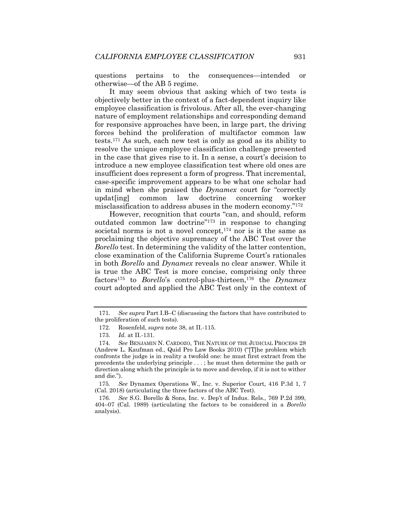questions pertains to the consequences—intended or otherwise—of the AB 5 regime.

It may seem obvious that asking which of two tests is objectively better in the context of a fact-dependent inquiry like employee classification is frivolous. After all, the ever-changing nature of employment relationships and corresponding demand for responsive approaches have been, in large part, the driving forces behind the proliferation of multifactor common law tests.171 As such, each new test is only as good as its ability to resolve the unique employee classification challenge presented in the case that gives rise to it. In a sense, a court's decision to introduce a new employee classification test where old ones are insufficient does represent a form of progress. That incremental, case-specific improvement appears to be what one scholar had in mind when she praised the *Dynamex* court for "correctly updat[ing] common law doctrine concerning worker misclassification to address abuses in the modern economy."172

However, recognition that courts "can, and should, reform outdated common law doctrine"173 in response to changing societal norms is not a novel concept, <sup>174</sup> nor is it the same as proclaiming the objective supremacy of the ABC Test over the *Borello* test. In determining the validity of the latter contention, close examination of the California Supreme Court's rationales in both *Borello* and *Dynamex* reveals no clear answer. While it is true the ABC Test is more concise, comprising only three factors175 to *Borello*'s control-plus-thirteen,176 the *Dynamex* court adopted and applied the ABC Test only in the context of

<sup>171</sup>*. See supra* Part I.B–C (discussing the factors that have contributed to the proliferation of such tests).

 <sup>172.</sup> Rosenfeld, *supra* note 38, at II.-115.

<sup>173</sup>*. Id.* at II.-131.

<sup>174</sup>*. See* BENJAMIN N. CARDOZO, THE NATURE OF THE JUDICIAL PROCESS 28 (Andrew L. Kaufman ed., Quid Pro Law Books 2010) ("[T]he problem which confronts the judge is in reality a twofold one: he must first extract from the precedents the underlying principle . . . ; he must then determine the path or direction along which the principle is to move and develop, if it is not to wither and die.").

<sup>175</sup>*. See* Dynamex Operations W., Inc. v. Superior Court, 416 P.3d 1, 7 (Cal. 2018) (articulating the three factors of the ABC Test).

<sup>176</sup>*. See* S.G. Borello & Sons, Inc. v. Dep't of Indus. Rels., 769 P.2d 399, 404–07 (Cal. 1989) (articulating the factors to be considered in a *Borello* analysis).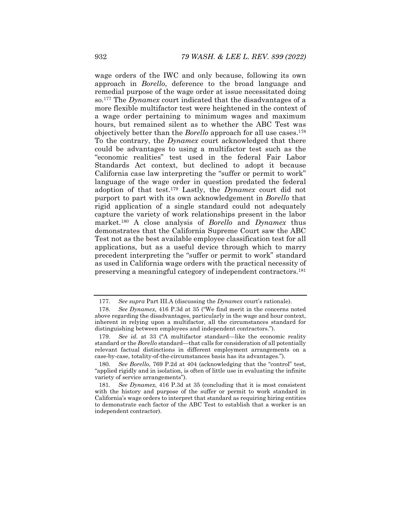wage orders of the IWC and only because, following its own approach in *Borello*, deference to the broad language and remedial purpose of the wage order at issue necessitated doing so.177 The *Dynamex* court indicated that the disadvantages of a more flexible multifactor test were heightened in the context of a wage order pertaining to minimum wages and maximum hours, but remained silent as to whether the ABC Test was objectively better than the *Borello* approach for all use cases.178 To the contrary, the *Dynamex* court acknowledged that there could be advantages to using a multifactor test such as the "economic realities" test used in the federal Fair Labor Standards Act context, but declined to adopt it because California case law interpreting the "suffer or permit to work" language of the wage order in question predated the federal adoption of that test.179 Lastly, the *Dynamex* court did not purport to part with its own acknowledgement in *Borello* that rigid application of a single standard could not adequately capture the variety of work relationships present in the labor market.180 A close analysis of *Borello* and *Dynamex* thus demonstrates that the California Supreme Court saw the ABC Test not as the best available employee classification test for all applications, but as a useful device through which to marry precedent interpreting the "suffer or permit to work" standard as used in California wage orders with the practical necessity of preserving a meaningful category of independent contractors.181

<sup>177</sup>*. See supra* Part III.A (discussing the *Dynamex* court's rationale).

<sup>178</sup>*. See Dynamex*, 416 P.3d at 35 ("We find merit in the concerns noted above regarding the disadvantages, particularly in the wage and hour context, inherent in relying upon a multifactor, all the circumstances standard for distinguishing between employees and independent contractors.").

<sup>179</sup>*. See id.* at 33 ("A multifactor standard—like the economic reality standard or the *Borello* standard—that calls for consideration of all potentially relevant factual distinctions in different employment arrangements on a case-by-case, totality-of-the-circumstances basis has its advantages.").

<sup>180</sup>*. See Borello*, 769 P.2d at 404 (acknowledging that the "control" test, "applied rigidly and in isolation, is often of little use in evaluating the infinite variety of service arrangements").

<sup>181</sup>*. See Dynamex*, 416 P.3d at 35 (concluding that it is most consistent with the history and purpose of the suffer or permit to work standard in California's wage orders to interpret that standard as requiring hiring entities to demonstrate each factor of the ABC Test to establish that a worker is an independent contractor).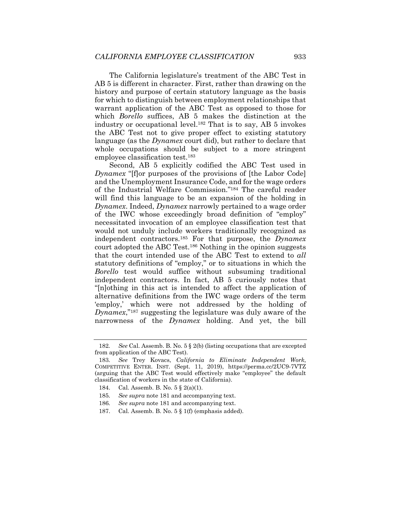The California legislature's treatment of the ABC Test in AB 5 is different in character. First, rather than drawing on the history and purpose of certain statutory language as the basis for which to distinguish between employment relationships that warrant application of the ABC Test as opposed to those for which *Borello* suffices, AB 5 makes the distinction at the industry or occupational level.182 That is to say, AB 5 invokes the ABC Test not to give proper effect to existing statutory language (as the *Dynamex* court did), but rather to declare that whole occupations should be subject to a more stringent employee classification test.183

Second, AB 5 explicitly codified the ABC Test used in *Dynamex* "[f]or purposes of the provisions of [the Labor Code] and the Unemployment Insurance Code, and for the wage orders of the Industrial Welfare Commission."184 The careful reader will find this language to be an expansion of the holding in *Dynamex*. Indeed, *Dynamex* narrowly pertained to a wage order of the IWC whose exceedingly broad definition of "employ" necessitated invocation of an employee classification test that would not unduly include workers traditionally recognized as independent contractors.185 For that purpose, the *Dynamex* court adopted the ABC Test.186 Nothing in the opinion suggests that the court intended use of the ABC Test to extend to *all* statutory definitions of "employ," or to situations in which the *Borello* test would suffice without subsuming traditional independent contractors. In fact, AB 5 curiously notes that "[n]othing in this act is intended to affect the application of alternative definitions from the IWC wage orders of the term 'employ,' which were not addressed by the holding of *Dynamex*,"187 suggesting the legislature was duly aware of the narrowness of the *Dynamex* holding. And yet, the bill

<sup>182</sup>*. See* Cal. Assemb. B. No. 5 § 2(b) (listing occupations that are excepted from application of the ABC Test).

<sup>183</sup>*. See* Trey Kovacs, *California to Eliminate Independent Work*, COMPETITIVE ENTER. INST. (Sept. 11, 2019), https://perma.cc/2UC9-7VTZ (arguing that the ABC Test would effectively make "employee" the default classification of workers in the state of California).

 <sup>184.</sup> Cal. Assemb. B. No. 5 § 2(a)(1).

<sup>185</sup>*. See supra* note 181 and accompanying text.

<sup>186</sup>*. See supra* note 181 and accompanying text.

 <sup>187.</sup> Cal. Assemb. B. No. 5 § 1(f) (emphasis added).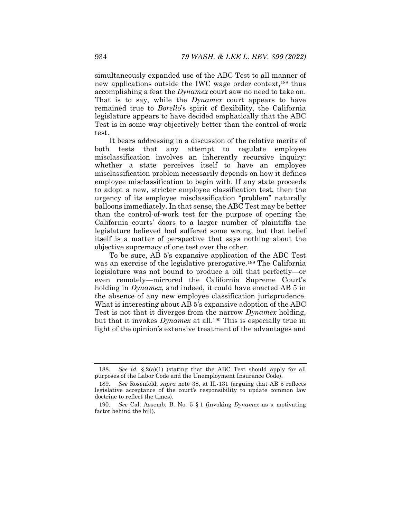simultaneously expanded use of the ABC Test to all manner of new applications outside the IWC wage order context,188 thus accomplishing a feat the *Dynamex* court saw no need to take on. That is to say, while the *Dynamex* court appears to have remained true to *Borello*'s spirit of flexibility, the California legislature appears to have decided emphatically that the ABC Test is in some way objectively better than the control-of-work test.

It bears addressing in a discussion of the relative merits of both tests that any attempt to regulate employee misclassification involves an inherently recursive inquiry: whether a state perceives itself to have an employee misclassification problem necessarily depends on how it defines employee misclassification to begin with. If any state proceeds to adopt a new, stricter employee classification test, then the urgency of its employee misclassification "problem" naturally balloons immediately. In that sense, the ABC Test may be better than the control-of-work test for the purpose of opening the California courts' doors to a larger number of plaintiffs the legislature believed had suffered some wrong, but that belief itself is a matter of perspective that says nothing about the objective supremacy of one test over the other.

To be sure, AB 5's expansive application of the ABC Test was an exercise of the legislative prerogative.<sup>189</sup> The California legislature was not bound to produce a bill that perfectly—or even remotely—mirrored the California Supreme Court's holding in *Dynamex*, and indeed, it could have enacted AB 5 in the absence of any new employee classification jurisprudence. What is interesting about AB 5's expansive adoption of the ABC Test is not that it diverges from the narrow *Dynamex* holding, but that it invokes *Dynamex* at all.190 This is especially true in light of the opinion's extensive treatment of the advantages and

<sup>188.</sup> See id.  $\S 2(a)(1)$  (stating that the ABC Test should apply for all purposes of the Labor Code and the Unemployment Insurance Code).

<sup>189</sup>*. See* Rosenfeld, *supra* note 38, at II.-131 (arguing that AB 5 reflects legislative acceptance of the court's responsibility to update common law doctrine to reflect the times).

<sup>190</sup>*. See* Cal. Assemb. B. No. 5 § 1 (invoking *Dynamex* as a motivating factor behind the bill).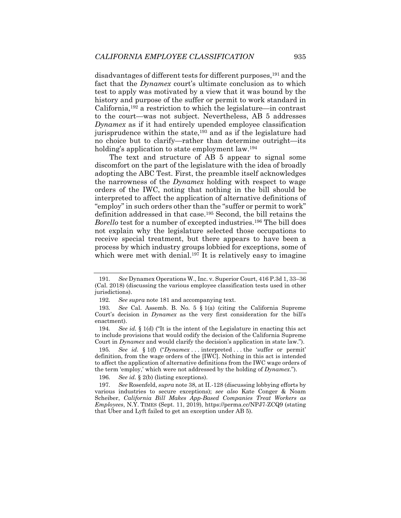disadvantages of different tests for different purposes,191 and the fact that the *Dynamex* court's ultimate conclusion as to which test to apply was motivated by a view that it was bound by the history and purpose of the suffer or permit to work standard in California,192 a restriction to which the legislature—in contrast to the court—was not subject. Nevertheless, AB 5 addresses *Dynamex* as if it had entirely upended employee classification jurisprudence within the state,<sup>193</sup> and as if the legislature had no choice but to clarify—rather than determine outright—its holding's application to state employment law.<sup>194</sup>

The text and structure of AB 5 appear to signal some discomfort on the part of the legislature with the idea of broadly adopting the ABC Test. First, the preamble itself acknowledges the narrowness of the *Dynamex* holding with respect to wage orders of the IWC, noting that nothing in the bill should be interpreted to affect the application of alternative definitions of "employ" in such orders other than the "suffer or permit to work" definition addressed in that case.195 Second, the bill retains the *Borello* test for a number of excepted industries.196 The bill does not explain why the legislature selected those occupations to receive special treatment, but there appears to have been a process by which industry groups lobbied for exceptions, some of which were met with denial.<sup>197</sup> It is relatively easy to imagine

196*. See id.* § 2(b) (listing exceptions).

<sup>191</sup>*. See* Dynamex Operations W., Inc. v. Superior Court, 416 P.3d 1, 33–36 (Cal. 2018) (discussing the various employee classification tests used in other jurisdictions).

<sup>192</sup>*. See supra* note 181 and accompanying text.

<sup>193</sup>*. See* Cal. Assemb. B. No. 5 § 1(a) (citing the California Supreme Court's decision in *Dynamex* as the very first consideration for the bill's enactment).

<sup>194</sup>*. See id.* § 1(d) ("It is the intent of the Legislature in enacting this act to include provisions that would codify the decision of the California Supreme Court in *Dynamex* and would clarify the decision's application in state law.").

<sup>195</sup>*. See id.* § 1(f) ("*Dynamex* . . . interpreted . . . the 'suffer or permit' definition, from the wage orders of the [IWC]. Nothing in this act is intended to affect the application of alternative definitions from the IWC wage orders of the term 'employ,' which were not addressed by the holding of *Dynamex*.").

<sup>197</sup>*. See* Rosenfeld, *supra* note 38, at II.-128 (discussing lobbying efforts by various industries to secure exceptions); *see also* Kate Conger & Noam Scheiber, *California Bill Makes App-Based Companies Treat Workers as Employees*, N.Y. TIMES (Sept. 11, 2019), https://perma.cc/NPJ7-ZCQ9 (stating that Uber and Lyft failed to get an exception under AB 5).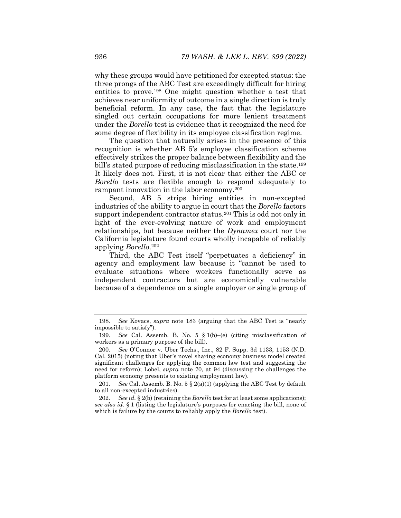why these groups would have petitioned for excepted status: the three prongs of the ABC Test are exceedingly difficult for hiring entities to prove.198 One might question whether a test that achieves near uniformity of outcome in a single direction is truly beneficial reform. In any case, the fact that the legislature singled out certain occupations for more lenient treatment under the *Borello* test is evidence that it recognized the need for some degree of flexibility in its employee classification regime.

The question that naturally arises in the presence of this recognition is whether AB 5's employee classification scheme effectively strikes the proper balance between flexibility and the bill's stated purpose of reducing misclassification in the state.<sup>199</sup> It likely does not. First, it is not clear that either the ABC or *Borello* tests are flexible enough to respond adequately to rampant innovation in the labor economy.200

Second, AB 5 strips hiring entities in non-excepted industries of the ability to argue in court that the *Borello* factors support independent contractor status.<sup>201</sup> This is odd not only in light of the ever-evolving nature of work and employment relationships, but because neither the *Dynamex* court nor the California legislature found courts wholly incapable of reliably applying *Borello*.202

Third, the ABC Test itself "perpetuates a deficiency" in agency and employment law because it "cannot be used to evaluate situations where workers functionally serve as independent contractors but are economically vulnerable because of a dependence on a single employer or single group of

<sup>198</sup>*. See* Kovacs, *supra* note 183 (arguing that the ABC Test is "nearly impossible to satisfy").

<sup>199</sup>*. See* Cal. Assemb. B. No. 5 § 1(b)–(e) (citing misclassification of workers as a primary purpose of the bill).

<sup>200</sup>*. See* O'Connor v. Uber Techs., Inc., 82 F. Supp. 3d 1133, 1153 (N.D. Cal. 2015) (noting that Uber's novel sharing economy business model created significant challenges for applying the common law test and suggesting the need for reform); Lobel, *supra* note 70, at 94 (discussing the challenges the platform economy presents to existing employment law).

<sup>201</sup>*. See* Cal. Assemb. B. No. 5 § 2(a)(1) (applying the ABC Test by default to all non-excepted industries).

<sup>202</sup>*. See id.* § 2(b) (retaining the *Borello* test for at least some applications); *see also id.* § 1 (listing the legislature's purposes for enacting the bill, none of which is failure by the courts to reliably apply the *Borello* test).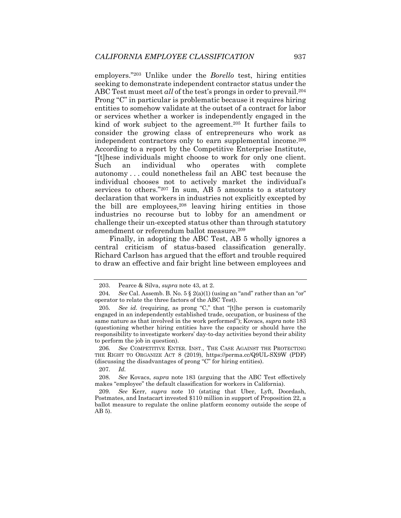employers."203 Unlike under the *Borello* test, hiring entities seeking to demonstrate independent contractor status under the ABC Test must meet *all* of the test's prongs in order to prevail.<sup>204</sup> Prong "C" in particular is problematic because it requires hiring entities to somehow validate at the outset of a contract for labor or services whether a worker is independently engaged in the kind of work subject to the agreement.<sup>205</sup> It further fails to consider the growing class of entrepreneurs who work as independent contractors only to earn supplemental income.206 According to a report by the Competitive Enterprise Institute, "[t]hese individuals might choose to work for only one client. Such an individual who operates with complete autonomy . . . could nonetheless fail an ABC test because the individual chooses not to actively market the individual's services to others."207 In sum, AB 5 amounts to a statutory declaration that workers in industries not explicitly excepted by the bill are employees, $208$  leaving hiring entities in those industries no recourse but to lobby for an amendment or challenge their un-excepted status other than through statutory amendment or referendum ballot measure.209

Finally, in adopting the ABC Test, AB 5 wholly ignores a central criticism of status-based classification generally. Richard Carlson has argued that the effort and trouble required to draw an effective and fair bright line between employees and

 <sup>203.</sup> Pearce & Silva, *supra* note 43, at 2.

<sup>204</sup>*. See* Cal. Assemb. B. No. 5 § 2(a)(1) (using an "and" rather than an "or" operator to relate the three factors of the ABC Test).

<sup>205</sup>*. See id.* (requiring, as prong "C," that "[t]he person is customarily engaged in an independently established trade, occupation, or business of the same nature as that involved in the work performed"); Kovacs, *supra* note 183 (questioning whether hiring entities have the capacity or should have the responsibility to investigate workers' day-to-day activities beyond their ability to perform the job in question).

<sup>206</sup>*. See* COMPETITIVE ENTER. INST., THE CASE AGAINST THE PROTECTING THE RIGHT TO ORGANIZE ACT 8 (2019), https://perma.cc/Q9UL-SX9W (PDF) (discussing the disadvantages of prong "C" for hiring entities).

<sup>207</sup>*. Id.*

<sup>208</sup>*. See* Kovacs, *supra* note 183 (arguing that the ABC Test effectively makes "employee" the default classification for workers in California).

<sup>209</sup>*. See* Kerr, *supra* note 10 (stating that Uber, Lyft, Doordash, Postmates, and Instacart invested \$110 million in support of Proposition 22, a ballot measure to regulate the online platform economy outside the scope of AB 5).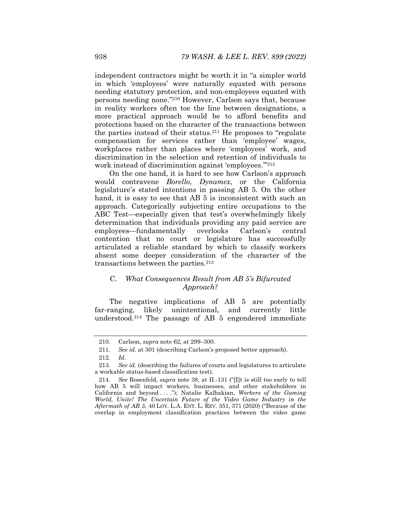independent contractors might be worth it in "a simpler world in which 'employees' were naturally equated with persons needing statutory protection, and non-employees equated with persons needing none."210 However, Carlson says that, because in reality workers often toe the line between designations, a more practical approach would be to afford benefits and protections based on the character of the transactions between the parties instead of their status.211 He proposes to "regulate compensation for services rather than 'employee' wages, workplaces rather than places where 'employees' work, and discrimination in the selection and retention of individuals to work instead of discrimination against 'employees.'"212

On the one hand, it is hard to see how Carlson's approach would contravene *Borello*, *Dynamex*, or the California legislature's stated intentions in passing AB 5. On the other hand, it is easy to see that AB 5 is inconsistent with such an approach. Categorically subjecting entire occupations to the ABC Test—especially given that test's overwhelmingly likely determination that individuals providing any paid service are employees—fundamentally overlooks Carlson's central contention that no court or legislature has successfully articulated a reliable standard by which to classify workers absent some deeper consideration of the character of the transactions between the parties.213

# C. *What Consequences Result from AB 5's Bifurcated Approach?*

The negative implications of AB 5 are potentially far-ranging, likely unintentional, and currently little understood.214 The passage of AB 5 engendered immediate

 <sup>210.</sup> Carlson, *supra* note 62, at 299–300.

<sup>211</sup>*. See id.* at 301 (describing Carlson's proposed better approach).

<sup>212</sup>*. Id.*

<sup>213</sup>*. See id.* (describing the failures of courts and legislatures to articulate a workable status-based classification test).

<sup>214</sup>*. See* Rosenfeld, *supra* note 38, at II.-131 ("[I]t is still too early to tell how AB 5 will impact workers, businesses, and other stakeholders in California and beyond . . . ."); Natalie Kalbakian, *Workers of the Gaming World, Unite! The Uncertain Future of the Video Game Industry in the Aftermath of AB 5*, 40 LOY. L.A. ENT. L. REV. 351, 371 (2020) ("Because of the overlap in employment classification practices between the video game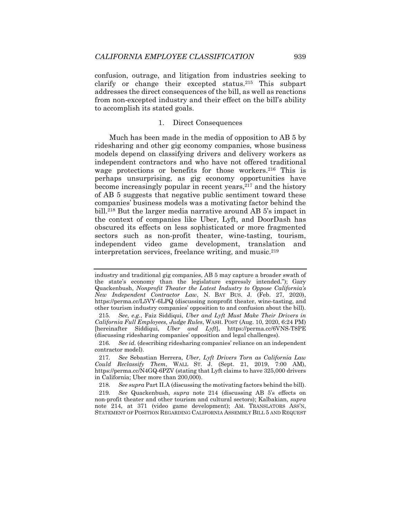confusion, outrage, and litigation from industries seeking to clarify or change their excepted status.215 This subpart addresses the direct consequences of the bill, as well as reactions from non-excepted industry and their effect on the bill's ability to accomplish its stated goals.

#### 1. Direct Consequences

Much has been made in the media of opposition to AB 5 by ridesharing and other gig economy companies, whose business models depend on classifying drivers and delivery workers as independent contractors and who have not offered traditional wage protections or benefits for those workers.216 This is perhaps unsurprising, as gig economy opportunities have become increasingly popular in recent years,<sup>217</sup> and the history of AB 5 suggests that negative public sentiment toward these companies' business models was a motivating factor behind the bill.218 But the larger media narrative around AB 5's impact in the context of companies like Uber, Lyft, and DoorDash has obscured its effects on less sophisticated or more fragmented sectors such as non-profit theater, wine-tasting, tourism, independent video game development, translation and interpretation services, freelance writing, and music.219

218*. See supra* Part II.A (discussing the motivating factors behind the bill).

219*. See* Quackenbush, *supra* note 214 (discussing AB 5's effects on non-profit theater and other tourism and cultural sectors); Kalbakian, *supra* note 214, at 371 (video game development); AM. TRANSLATORS ASS'N, STATEMENT OF POSITION REGARDING CALIFORNIA ASSEMBLY BILL 5 AND REQUEST

industry and traditional gig companies, AB 5 may capture a broader swath of the state's economy than the legislature expressly intended."); Gary Quackenbush, *Nonprofit Theater the Latest Industry to Oppose California's New Independent Contractor Law*, N. BAY BUS. J. (Feb. 27, 2020), https://perma.cc/L5VY-6LPQ (discussing nonprofit theater, wine-tasting, and other tourism industry companies' opposition to and confusion about the bill).

<sup>215</sup>*. See, e.g.*, Faiz Siddiqui, *Uber and Lyft Must Make Their Drivers in California Full Employees, Judge Rules*, WASH. POST (Aug. 10, 2020, 6:24 PM) [hereinafter Siddiqui, *Uber and Lyft*], https://perma.cc/6VNS-T8PE (discussing ridesharing companies' opposition and legal challenges).

<sup>216</sup>*. See id.* (describing ridesharing companies' reliance on an independent contractor model).

<sup>217</sup>*. See* Sebastian Herrera, *Uber, Lyft Drivers Torn as California Law Could Reclassify Them*, WALL ST. J. (Sept. 21, 2019, 7:00 AM), https://perma.cc/N4GQ-6PZV (stating that Lyft claims to have 325,000 drivers in California; Uber more than 200,000).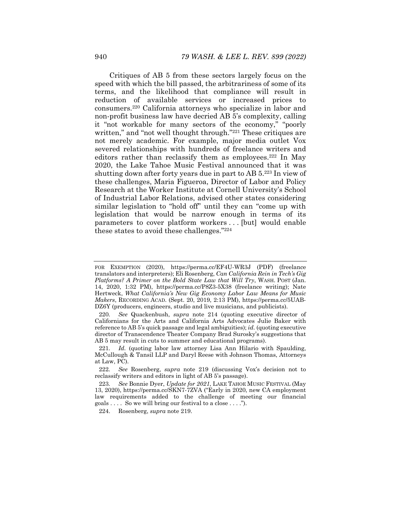Critiques of AB 5 from these sectors largely focus on the speed with which the bill passed, the arbitrariness of some of its terms, and the likelihood that compliance will result in reduction of available services or increased prices to consumers.220 California attorneys who specialize in labor and non-profit business law have decried AB 5's complexity, calling it "not workable for many sectors of the economy," "poorly written," and "not well thought through."<sup>221</sup> These critiques are not merely academic. For example, major media outlet Vox severed relationships with hundreds of freelance writers and editors rather than reclassify them as employees.<sup>222</sup> In May 2020, the Lake Tahoe Music Festival announced that it was shutting down after forty years due in part to AB 5.223 In view of these challenges, Maria Figueroa, Director of Labor and Policy Research at the Worker Institute at Cornell University's School of Industrial Labor Relations, advised other states considering similar legislation to "hold off" until they can "come up with legislation that would be narrow enough in terms of its parameters to cover platform workers . . . [but] would enable these states to avoid these challenges."224

224. Rosenberg, *supra* note 219.

FOR EXEMPTION (2020), https://perma.cc/EF4U-WR3J (PDF) (freelance translators and interpreters); Eli Rosenberg, *Can California Rein in Tech's Gig Platforms? A Primer on the Bold State Law that Will Try*, WASH. POST (Jan. 14, 2020, 1:32 PM), https://perma.cc/P8Z3-5X38 (freelance writing); Nate Hertweck, *What California's New Gig Economy Labor Law Means for Music Makers*, RECORDING ACAD. (Sept. 20, 2019, 2:13 PM), https://perma.cc/5UAB-DZ6Y (producers, engineers, studio and live musicians, and publicists).

<sup>220</sup>*. See* Quackenbush, *supra* note 214 (quoting executive director of Californians for the Arts and California Arts Advocates Julie Baker with reference to AB 5's quick passage and legal ambiguities); *id.* (quoting executive director of Transcendence Theater Company Brad Surosky's suggestions that AB 5 may result in cuts to summer and educational programs).

<sup>221</sup>*. Id.* (quoting labor law attorney Lisa Ann Hilario with Spaulding, McCullough & Tansil LLP and Daryl Reese with Johnson Thomas, Attorneys at Law, PC).

<sup>222</sup>*. See* Rosenberg, *supra* note 219 (discussing Vox's decision not to reclassify writers and editors in light of AB 5's passage).

<sup>223</sup>*. See* Bonnie Dyer, *Update for 2021*, LAKE TAHOE MUSIC FESTIVAL (May 13, 2020), https://perma.cc/SKN7-7ZVA ("Early in 2020, new CA employment law requirements added to the challenge of meeting our financial goals  $\dots$  So we will bring our festival to a close  $\dots$ .").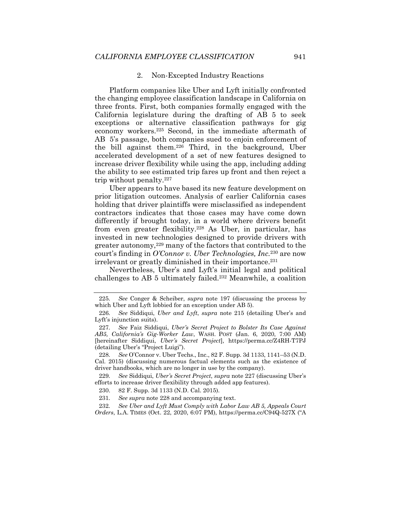#### 2. Non-Excepted Industry Reactions

Platform companies like Uber and Lyft initially confronted the changing employee classification landscape in California on three fronts. First, both companies formally engaged with the California legislature during the drafting of AB 5 to seek exceptions or alternative classification pathways for gig economy workers.225 Second, in the immediate aftermath of AB 5's passage, both companies sued to enjoin enforcement of the bill against them.226 Third, in the background, Uber accelerated development of a set of new features designed to increase driver flexibility while using the app, including adding the ability to see estimated trip fares up front and then reject a trip without penalty.227

Uber appears to have based its new feature development on prior litigation outcomes. Analysis of earlier California cases holding that driver plaintiffs were misclassified as independent contractors indicates that those cases may have come down differently if brought today, in a world where drivers benefit from even greater flexibility.228 As Uber, in particular, has invested in new technologies designed to provide drivers with greater autonomy,229 many of the factors that contributed to the court's finding in *O'Connor v. Uber Technologies, Inc.*230 are now irrelevant or greatly diminished in their importance.<sup>231</sup>

Nevertheless, Uber's and Lyft's initial legal and political challenges to AB 5 ultimately failed.232 Meanwhile, a coalition

<sup>225</sup>*. See* Conger & Scheiber, *supra* note 197 (discussing the process by which Uber and Lyft lobbied for an exception under AB 5).

<sup>226</sup>*. See* Siddiqui, *Uber and Lyft*, *supra* note 215 (detailing Uber's and Lyft's injunction suits).

<sup>227</sup>*. See* Faiz Siddiqui, *Uber's Secret Project to Bolster Its Case Against AB5, California's Gig-Worker Law*, WASH. POST (Jan. 6, 2020, 7:00 AM) [hereinafter Siddiqui, *Uber's Secret Project*], https://perma.cc/Z4RH-T7PJ (detailing Uber's "Project Luigi").

<sup>228</sup>*. See* O'Connor v. Uber Techs., Inc., 82 F. Supp. 3d 1133, 1141–53 (N.D. Cal. 2015) (discussing numerous factual elements such as the existence of driver handbooks, which are no longer in use by the company).

<sup>229</sup>*. See* Siddiqui, *Uber's Secret Project*, *supra* note 227 (discussing Uber's efforts to increase driver flexibility through added app features).

 <sup>230. 82</sup> F. Supp. 3d 1133 (N.D. Cal. 2015).

<sup>231</sup>*. See supra* note 228 and accompanying text.

<sup>232</sup>*. See Uber and Lyft Must Comply with Labor Law AB 5, Appeals Court Orders*, L.A. TIMES (Oct. 22, 2020, 6:07 PM), https://perma.cc/C94Q-527X ("A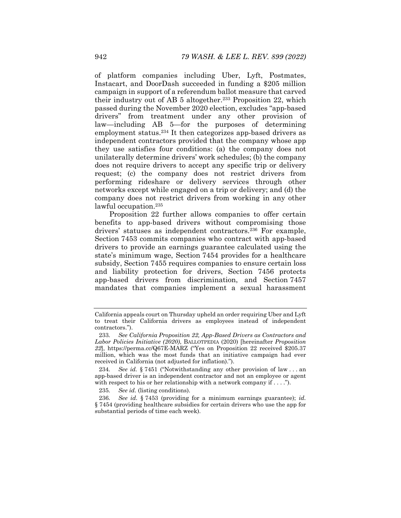of platform companies including Uber, Lyft, Postmates, Instacart, and DoorDash succeeded in funding a \$205 million campaign in support of a referendum ballot measure that carved their industry out of AB 5 altogether.233 Proposition 22, which passed during the November 2020 election, excludes "app-based drivers" from treatment under any other provision of law—including AB 5—for the purposes of determining employment status.<sup>234</sup> It then categorizes app-based drivers as independent contractors provided that the company whose app they use satisfies four conditions: (a) the company does not unilaterally determine drivers' work schedules; (b) the company does not require drivers to accept any specific trip or delivery request; (c) the company does not restrict drivers from performing rideshare or delivery services through other networks except while engaged on a trip or delivery; and (d) the company does not restrict drivers from working in any other lawful occupation.<sup>235</sup>

Proposition 22 further allows companies to offer certain benefits to app-based drivers without compromising those drivers' statuses as independent contractors.<sup>236</sup> For example, Section 7453 commits companies who contract with app-based drivers to provide an earnings guarantee calculated using the state's minimum wage, Section 7454 provides for a healthcare subsidy, Section 7455 requires companies to ensure certain loss and liability protection for drivers, Section 7456 protects app-based drivers from discrimination, and Section 7457 mandates that companies implement a sexual harassment

California appeals court on Thursday upheld an order requiring Uber and Lyft to treat their California drivers as employees instead of independent contractors.").

<sup>233</sup>*. See California Proposition 22, App-Based Drivers as Contractors and Labor Policies Initiative (2020)*, BALLOTPEDIA (2020) [hereinafter *Proposition 22*], https://perma.cc/Q67E-MARZ ("Yes on Proposition 22 received \$205.37 million, which was the most funds that an initiative campaign had ever received in California (not adjusted for inflation).").

<sup>234</sup>*. See id.* § 7451 ("Notwithstanding any other provision of law . . . an app-based driver is an independent contractor and not an employee or agent with respect to his or her relationship with a network company if  $\dots$ .

<sup>235</sup>*. See id.* (listing conditions).

<sup>236</sup>*. See id.* § 7453 (providing for a minimum earnings guarantee); *id.*  § 7454 (providing healthcare subsidies for certain drivers who use the app for substantial periods of time each week).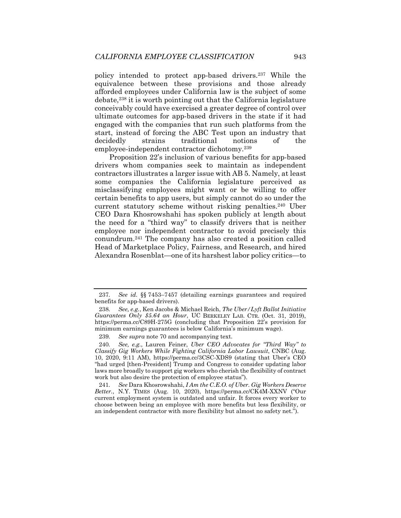policy intended to protect app-based drivers.237 While the equivalence between these provisions and those already afforded employees under California law is the subject of some debate,238 it is worth pointing out that the California legislature conceivably could have exercised a greater degree of control over ultimate outcomes for app-based drivers in the state if it had engaged with the companies that run such platforms from the start, instead of forcing the ABC Test upon an industry that decidedly strains traditional notions of the employee-independent contractor dichotomy.239

Proposition 22's inclusion of various benefits for app-based drivers whom companies seek to maintain as independent contractors illustrates a larger issue with AB 5. Namely, at least some companies the California legislature perceived as misclassifying employees might want or be willing to offer certain benefits to app users, but simply cannot do so under the current statutory scheme without risking penalties.240 Uber CEO Dara Khosrowshahi has spoken publicly at length about the need for a "third way" to classify drivers that is neither employee nor independent contractor to avoid precisely this conundrum.241 The company has also created a position called Head of Marketplace Policy, Fairness, and Research, and hired Alexandra Rosenblat—one of its harshest labor policy critics—to

241*. See* Dara Khosrowshahi, *I Am the C.E.O. of Uber. Gig Workers Deserve Better.*, N.Y. TIMES (Aug. 10, 2020), https://perma.cc/CK4M-XXNV ("Our current employment system is outdated and unfair. It forces every worker to choose between being an employee with more benefits but less flexibility, or an independent contractor with more flexibility but almost no safety net.").

<sup>237</sup>*. See id.* §§ 7453–7457 (detailing earnings guarantees and required benefits for app-based drivers).

<sup>238</sup>*. See, e.g.*, Ken Jacobs & Michael Reich, *The Uber/Lyft Ballot Initiative Guarantees Only \$5.64 an Hour*, UC BERKELEY LAB. CTR. (Oct. 31, 2019), https://perma.cc/C89H-275G (concluding that Proposition 22's provision for minimum earnings guarantees is below California's minimum wage).

<sup>239</sup>*. See supra* note 70 and accompanying text.

<sup>240</sup>*. See, e.g.*, Lauren Feiner, *Uber CEO Advocates for "Third Way" to Classify Gig Workers While Fighting California Labor Lawsuit*, CNBC (Aug. 10, 2020, 9:11 AM), https://perma.cc/3CSC-XDS9 (stating that Uber's CEO "had urged [then-President] Trump and Congress to consider updating labor laws more broadly to support gig workers who cherish the flexibility of contract work but also desire the protection of employee status").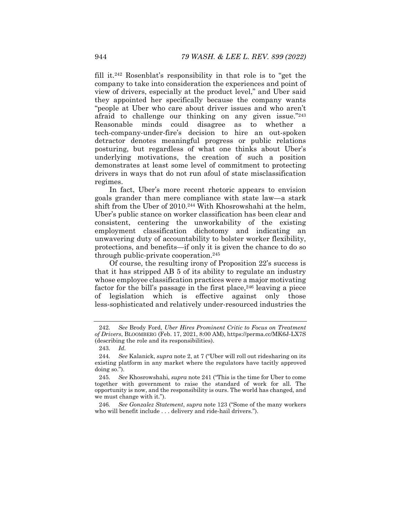fill it.242 Rosenblat's responsibility in that role is to "get the company to take into consideration the experiences and point of view of drivers, especially at the product level," and Uber said they appointed her specifically because the company wants "people at Uber who care about driver issues and who aren't afraid to challenge our thinking on any given issue."243 Reasonable minds could disagree as to whether a tech-company-under-fire's decision to hire an out-spoken detractor denotes meaningful progress or public relations posturing, but regardless of what one thinks about Uber's underlying motivations, the creation of such a position demonstrates at least some level of commitment to protecting drivers in ways that do not run afoul of state misclassification regimes.

In fact, Uber's more recent rhetoric appears to envision goals grander than mere compliance with state law—a stark shift from the Uber of 2010.244 With Khosrowshahi at the helm, Uber's public stance on worker classification has been clear and consistent, centering the unworkability of the existing employment classification dichotomy and indicating an unwavering duty of accountability to bolster worker flexibility, protections, and benefits—if only it is given the chance to do so through public-private cooperation.245

Of course, the resulting irony of Proposition 22's success is that it has stripped AB 5 of its ability to regulate an industry whose employee classification practices were a major motivating factor for the bill's passage in the first place,  $246$  leaving a piece of legislation which is effective against only those less-sophisticated and relatively under-resourced industries the

<sup>242</sup>*. See* Brody Ford, *Uber Hires Prominent Critic to Focus on Treatment of Drivers*, BLOOMBERG (Feb. 17, 2021, 8:00 AM), https://perma.cc/MK6J-LX7S (describing the role and its responsibilities).

<sup>243</sup>*. Id.*

<sup>244</sup>*. See* Kalanick, *supra* note 2, at 7 ("Uber will roll out ridesharing on its existing platform in any market where the regulators have tacitly approved doing so.").

<sup>245</sup>*. See* Khosrowshahi, *supra* note 241 ("This is the time for Uber to come together with government to raise the standard of work for all. The opportunity is now, and the responsibility is ours. The world has changed, and we must change with it.").

<sup>246</sup>*. See Gonzalez Statement*, *supra* note 123 ("Some of the many workers who will benefit include . . . delivery and ride-hail drivers.").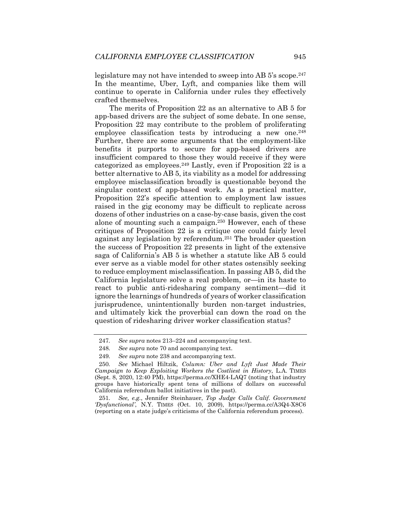legislature may not have intended to sweep into AB 5's scope.<sup>247</sup> In the meantime, Uber, Lyft, and companies like them will continue to operate in California under rules they effectively crafted themselves.

The merits of Proposition 22 as an alternative to AB 5 for app-based drivers are the subject of some debate. In one sense, Proposition 22 may contribute to the problem of proliferating employee classification tests by introducing a new one.<sup>248</sup> Further, there are some arguments that the employment-like benefits it purports to secure for app-based drivers are insufficient compared to those they would receive if they were categorized as employees.249 Lastly, even if Proposition 22 is a better alternative to AB 5, its viability as a model for addressing employee misclassification broadly is questionable beyond the singular context of app-based work. As a practical matter, Proposition 22's specific attention to employment law issues raised in the gig economy may be difficult to replicate across dozens of other industries on a case-by-case basis, given the cost alone of mounting such a campaign.250 However, each of these critiques of Proposition 22 is a critique one could fairly level against any legislation by referendum.251 The broader question the success of Proposition 22 presents in light of the extensive saga of California's AB 5 is whether a statute like AB 5 could ever serve as a viable model for other states ostensibly seeking to reduce employment misclassification. In passing AB 5, did the California legislature solve a real problem, or—in its haste to react to public anti-ridesharing company sentiment—did it ignore the learnings of hundreds of years of worker classification jurisprudence, unintentionally burden non-target industries, and ultimately kick the proverbial can down the road on the question of ridesharing driver worker classification status?

<sup>247</sup>*. See supra* notes 213–224 and accompanying text.

<sup>248</sup>*. See supra* note 70 and accompanying text.

<sup>249</sup>*. See supra* note 238 and accompanying text.

<sup>250</sup>*. See* Michael Hiltzik, *Column: Uber and Lyft Just Made Their Campaign to Keep Exploiting Workers the Costliest in History*, L.A. TIMES (Sept. 8, 2020, 12:40 PM), https://perma.cc/XHE4-LAQ7 (noting that industry groups have historically spent tens of millions of dollars on successful California referendum ballot initiatives in the past).

<sup>251</sup>*. See, e.g.*, Jennifer Steinhauer, *Top Judge Calls Calif. Government 'Dysfunctional'*, N.Y. TIMES (Oct. 10, 2009), https://perma.cc/A3Q4-X8C6 (reporting on a state judge's criticisms of the California referendum process).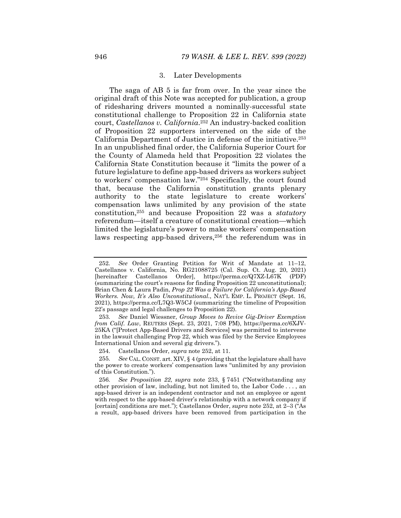#### 3. Later Developments

The saga of AB 5 is far from over. In the year since the original draft of this Note was accepted for publication, a group of ridesharing drivers mounted a nominally-successful state constitutional challenge to Proposition 22 in California state court, *Castellanos v. California*.252 An industry-backed coalition of Proposition 22 supporters intervened on the side of the California Department of Justice in defense of the initiative.253 In an unpublished final order, the California Superior Court for the County of Alameda held that Proposition 22 violates the California State Constitution because it "limits the power of a future legislature to define app-based drivers as workers subject to workers' compensation law."254 Specifically, the court found that, because the California constitution grants plenary authority to the state legislature to create workers' compensation laws unlimited by any provision of the state constitution,255 and because Proposition 22 was a *statutory* referendum—itself a creature of constitutional creation—which limited the legislature's power to make workers' compensation laws respecting app-based drivers,<sup>256</sup> the referendum was in

<sup>252</sup>*. See* Order Granting Petition for Writ of Mandate at 11–12, Castellanos v. California, No. RG21088725 (Cal. Sup. Ct. Aug. 20, 2021) [hereinafter Castellanos Order], https://perma.cc/Q7XZ-L67K (PDF) (summarizing the court's reasons for finding Proposition 22 unconstitutional); Brian Chen & Laura Padin, *Prop 22 Was a Failure for California's App-Based Workers. Now, It's Also Unconstitutional.*, NAT'L EMP. L. PROJECT (Sept. 16, 2021), https://perma.cc/L7Q3-W5CJ (summarizing the timeline of Proposition 22's passage and legal challenges to Proposition 22).

<sup>253</sup>*. See* Daniel Wiessner, *Group Moves to Revive Gig-Driver Exemption from Calif. Law*, REUTERS (Sept. 23, 2021, 7:08 PM), https://perma.cc/6XJV-25KA ("[Protect App-Based Drivers and Services] was permitted to intervene in the lawsuit challenging Prop 22, which was filed by the Service Employees International Union and several gig drivers.").

 <sup>254.</sup> Castellanos Order, *supra* note 252, at 11.

<sup>255</sup>*. See* CAL. CONST. art. XIV, § 4 (providing that the legislature shall have the power to create workers' compensation laws "unlimited by any provision of this Constitution.").

<sup>256</sup>*. See Proposition 22*, *supra* note 233, § 7451 ("Notwithstanding any other provision of law, including, but not limited to, the Labor Code . . . , an app-based driver is an independent contractor and not an employee or agent with respect to the app-based driver's relationship with a network company if [certain] conditions are met."); Castellanos Order, *supra* note 252, at 2–3 ("As a result, app-based drivers have been removed from participation in the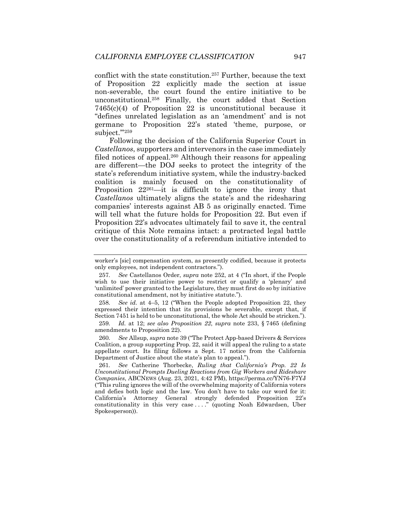conflict with the state constitution.257 Further, because the text of Proposition 22 explicitly made the section at issue non-severable, the court found the entire initiative to be unconstitutional.258 Finally, the court added that Section 7465(c)(4) of Proposition 22 is unconstitutional because it "defines unrelated legislation as an 'amendment' and is not germane to Proposition 22's stated 'theme, purpose, or subject.'"259

Following the decision of the California Superior Court in *Castellanos*, supporters and intervenors in the case immediately filed notices of appeal.<sup>260</sup> Although their reasons for appealing are different—the DOJ seeks to protect the integrity of the state's referendum initiative system, while the industry-backed coalition is mainly focused on the constitutionality of Proposition 22261—it is difficult to ignore the irony that *Castellanos* ultimately aligns the state's and the ridesharing companies' interests against AB 5 as originally enacted. Time will tell what the future holds for Proposition 22. But even if Proposition 22's advocates ultimately fail to save it, the central critique of this Note remains intact: a protracted legal battle over the constitutionality of a referendum initiative intended to

258*. See id.* at 4–5, 12 ("When the People adopted Proposition 22, they expressed their intention that its provisions be severable, except that, if Section 7451 is held to be unconstitutional, the whole Act should be stricken.").

worker's [sic] compensation system, as presently codified, because it protects only employees, not independent contractors.").

<sup>257</sup>*. See* Castellanos Order, *supra* note 252, at 4 ("In short, if the People wish to use their initiative power to restrict or qualify a 'plenary' and 'unlimited' power granted to the Legislature, they must first do so by initiative constitutional amendment, not by initiative statute.").

<sup>259</sup>*. Id.* at 12; *see also Proposition 22*, *supra* note 233, § 7465 (defining amendments to Proposition 22).

<sup>260</sup>*. See* Allsup, *supra* note 39 ("The Protect App-based Drivers & Services Coalition, a group supporting Prop. 22, said it will appeal the ruling to a state appellate court. Its filing follows a Sept. 17 notice from the California Department of Justice about the state's plan to appeal.").

<sup>261</sup>*. See* Catherine Thorbecke, *Ruling that California's Prop. 22 Is Unconstitutional Prompts Dueling Reactions from Gig Workers and Rideshare Companies*, ABCNEWS (Aug. 23, 2021, 4:42 PM), https://perma.cc/YN76-F7YJ ("This ruling ignores the will of the overwhelming majority of California voters and defies both logic and the law. You don't have to take our word for it: California's Attorney General strongly defended Proposition 22's constitutionality in this very case ...." (quoting Noah Edwardsen, Uber Spokesperson)).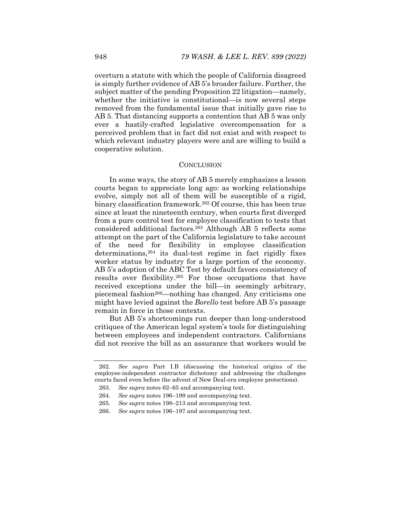overturn a statute with which the people of California disagreed is simply further evidence of AB 5's broader failure. Further, the subject matter of the pending Proposition 22 litigation—namely, whether the initiative is constitutional—is now several steps removed from the fundamental issue that initially gave rise to AB 5. That distancing supports a contention that AB 5 was only ever a hastily-crafted legislative overcompensation for a perceived problem that in fact did not exist and with respect to which relevant industry players were and are willing to build a cooperative solution.

#### **CONCLUSION**

In some ways, the story of AB 5 merely emphasizes a lesson courts began to appreciate long ago: as working relationships evolve, simply not all of them will be susceptible of a rigid, binary classification framework.262 Of course, this has been true since at least the nineteenth century, when courts first diverged from a pure control test for employee classification to tests that considered additional factors.263 Although AB 5 reflects some attempt on the part of the California legislature to take account of the need for flexibility in employee classification determinations,264 its dual-test regime in fact rigidly fixes worker status by industry for a large portion of the economy. AB 5's adoption of the ABC Test by default favors consistency of results over flexibility.265 For those occupations that have received exceptions under the bill—in seemingly arbitrary, piecemeal fashion266—nothing has changed. Any criticisms one might have levied against the *Borello* test before AB 5's passage remain in force in those contexts.

But AB 5's shortcomings run deeper than long-understood critiques of the American legal system's tools for distinguishing between employees and independent contractors. Californians did not receive the bill as an assurance that workers would be

<sup>262</sup>*. See supra* Part I.B (discussing the historical origins of the employee-independent contractor dichotomy and addressing the challenges courts faced even before the advent of New Deal-era employee protections).

<sup>263</sup>*. See supra* notes 62–65 and accompanying text.

<sup>264</sup>*. See supra* notes 196–199 and accompanying text.

<sup>265</sup>*. See supra* notes 198–213 and accompanying text.

<sup>266</sup>*. See supra* notes 196–197 and accompanying text.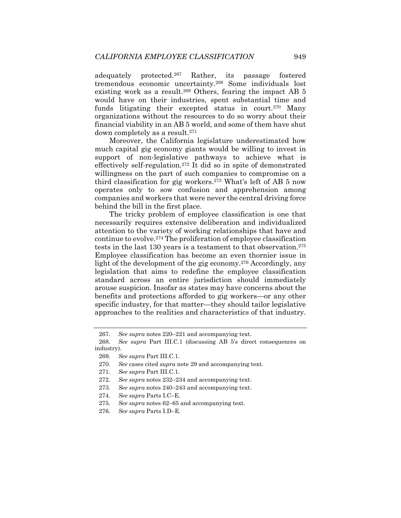adequately protected.267 Rather, its passage fostered tremendous economic uncertainty.268 Some individuals lost existing work as a result.<sup>269</sup> Others, fearing the impact AB 5 would have on their industries, spent substantial time and funds litigating their excepted status in court.<sup>270</sup> Many organizations without the resources to do so worry about their financial viability in an AB 5 world, and some of them have shut down completely as a result.271

Moreover, the California legislature underestimated how much capital gig economy giants would be willing to invest in support of non-legislative pathways to achieve what is effectively self-regulation.272 It did so in spite of demonstrated willingness on the part of such companies to compromise on a third classification for gig workers.273 What's left of AB 5 now operates only to sow confusion and apprehension among companies and workers that were never the central driving force behind the bill in the first place.

The tricky problem of employee classification is one that necessarily requires extensive deliberation and individualized attention to the variety of working relationships that have and continue to evolve.274 The proliferation of employee classification tests in the last 130 years is a testament to that observation.275 Employee classification has become an even thornier issue in light of the development of the gig economy.<sup>276</sup> Accordingly, any legislation that aims to redefine the employee classification standard across an entire jurisdiction should immediately arouse suspicion. Insofar as states may have concerns about the benefits and protections afforded to gig workers—or any other specific industry, for that matter—they should tailor legislative approaches to the realities and characteristics of that industry.

<sup>267</sup>*. See supra* notes 220–221 and accompanying text.

<sup>268</sup>*. See supra* Part III.C.1 (discussing AB 5's direct consequences on industry).

<sup>269</sup>*. See supra* Part III.C.1.

<sup>270</sup>*. See* cases cited *supra* note 29 and accompanying text.

<sup>271</sup>*. See supra* Part III.C.1.

<sup>272</sup>*. See supra* notes 232–234 and accompanying text.

<sup>273</sup>*. See supra* notes 240–243 and accompanying text.

<sup>274</sup>*. See supra* Parts I.C–E.

<sup>275</sup>*. See supra* notes 62–65 and accompanying text.

<sup>276</sup>*. See supra* Parts I.D–E.